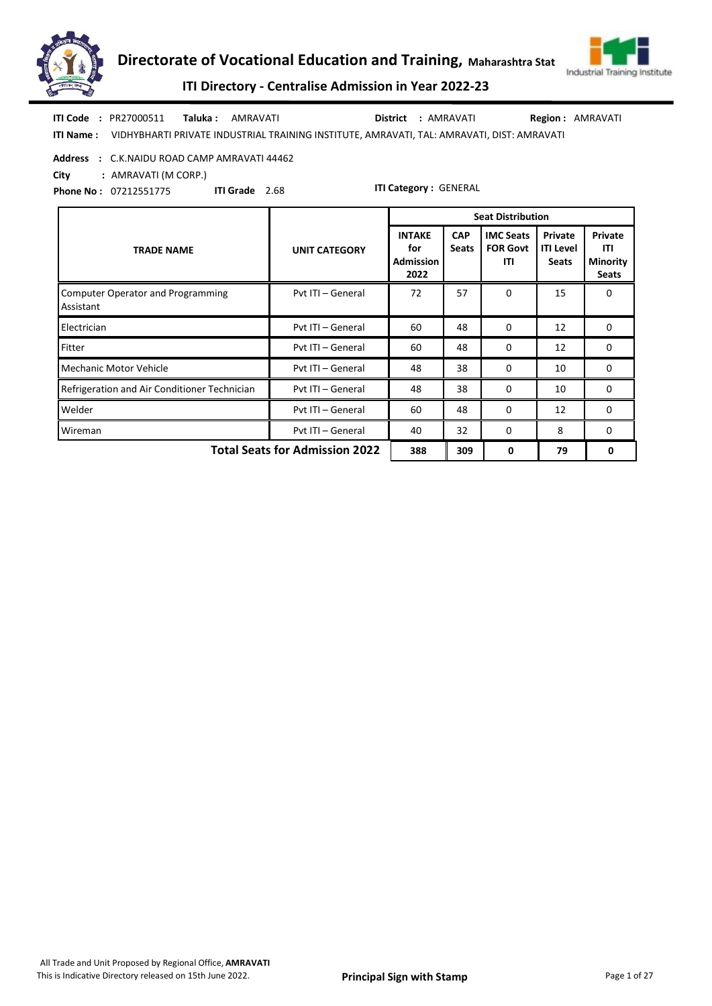



ITI Directory - Centralise Admission in Year 2022-23

ITI Name : VIDHYBHARTI PRIVATE INDUSTRIAL TRAINING INSTITUTE, AMRAVATI, TAL: AMRAVATI, DIST: AMRAVATI Taluka : AMRAVATI District : AMRAVATI ITI Code : PR27000511 Region : AMRAVATI

Address : C.K.NAIDU ROAD CAMP AMRAVATI 44462

City : AMRAVATI (M CORP.)

Phone No : 07212551775 ITI Grade 2.68

|                                                       |                                       |                                                  |                            | <b>Seat Distribution</b>                   |                                             |                                                   |
|-------------------------------------------------------|---------------------------------------|--------------------------------------------------|----------------------------|--------------------------------------------|---------------------------------------------|---------------------------------------------------|
| <b>TRADE NAME</b>                                     | <b>UNIT CATEGORY</b>                  | <b>INTAKE</b><br>for<br><b>Admission</b><br>2022 | <b>CAP</b><br><b>Seats</b> | <b>IMC Seats</b><br><b>FOR Govt</b><br>ITI | Private<br><b>ITI Level</b><br><b>Seats</b> | Private<br>ITI<br><b>Minority</b><br><b>Seats</b> |
| <b>Computer Operator and Programming</b><br>Assistant | Pvt ITI - General                     | 72                                               | 57                         | $\Omega$                                   | 15                                          | 0                                                 |
| Electrician                                           | Pyt ITI - General                     | 60                                               | 48                         | 0                                          | 12                                          | $\mathbf 0$                                       |
| Fitter                                                | Pvt ITI - General                     | 60                                               | 48                         | $\Omega$                                   | 12                                          | 0                                                 |
| Mechanic Motor Vehicle                                | Pyt ITI - General                     | 48                                               | 38                         | $\Omega$                                   | 10                                          | 0                                                 |
| Refrigeration and Air Conditioner Technician          | Pvt ITI - General                     | 48                                               | 38                         | $\Omega$                                   | 10                                          | 0                                                 |
| Welder                                                | Pvt ITI - General                     | 60                                               | 48                         | $\Omega$                                   | 12                                          | 0                                                 |
| Wireman                                               | Pvt ITI - General                     | 40                                               | 32                         | $\Omega$                                   | 8                                           | 0                                                 |
|                                                       | <b>Total Seats for Admission 2022</b> | 388                                              | 309                        | 0                                          | 79                                          | 0                                                 |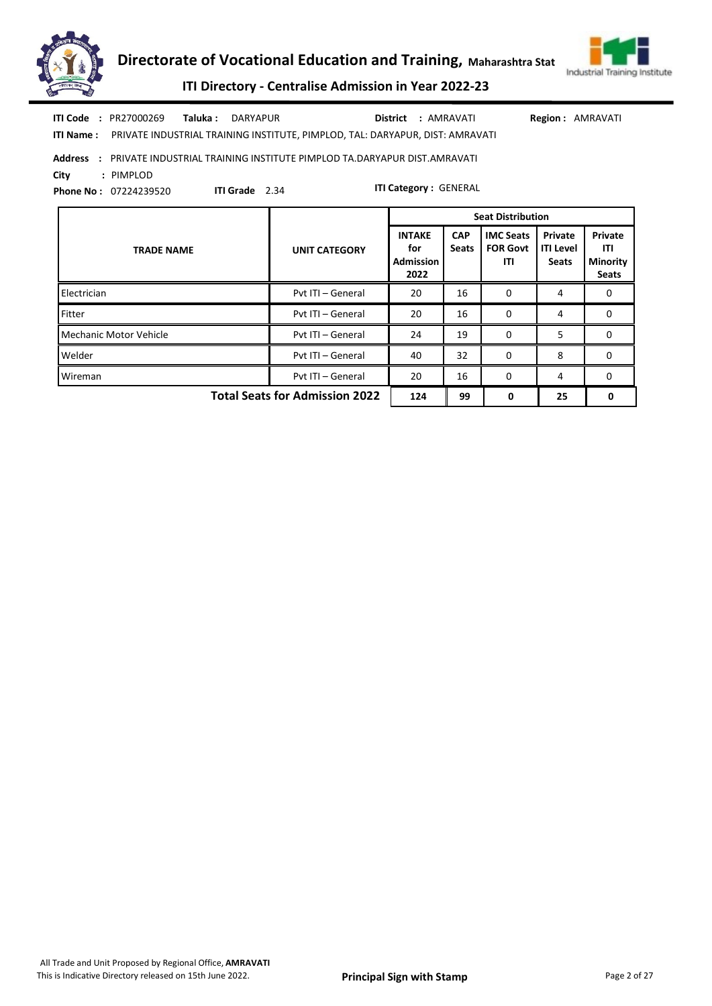



|      | <b>ITI Code : PR27000269</b> | <b>Taluka:</b> DARYAPUR |                       |                                                                                         |  | District : AMRAVATI          | <b>Region: AMRAVATI</b> |
|------|------------------------------|-------------------------|-----------------------|-----------------------------------------------------------------------------------------|--|------------------------------|-------------------------|
|      |                              |                         |                       | ITI Name: PRIVATE INDUSTRIAL TRAINING INSTITUTE, PIMPLOD, TAL: DARYAPUR, DIST: AMRAVATI |  |                              |                         |
|      |                              |                         |                       | Address : PRIVATE INDUSTRIAL TRAINING INSTITUTE PIMPLOD TA.DARYAPUR DIST.AMRAVATI       |  |                              |                         |
| City | : PIMPLOD                    |                         |                       |                                                                                         |  |                              |                         |
|      | <b>Phone No: 07224239520</b> |                         | <b>ITI Grade</b> 2.34 |                                                                                         |  | <b>ITI Category: GENERAL</b> |                         |

|                                       |                      |                                           |                            | <b>Seat Distribution</b>                   |                                             |                                                          |
|---------------------------------------|----------------------|-------------------------------------------|----------------------------|--------------------------------------------|---------------------------------------------|----------------------------------------------------------|
| <b>TRADE NAME</b>                     | <b>UNIT CATEGORY</b> | <b>INTAKE</b><br>for<br>Admission<br>2022 | <b>CAP</b><br><b>Seats</b> | <b>IMC Seats</b><br><b>FOR Govt</b><br>ITI | Private<br><b>ITI Level</b><br><b>Seats</b> | <b>Private</b><br>ITI<br><b>Minority</b><br><b>Seats</b> |
| Electrician                           | Pyt ITI - General    | 20                                        | 16                         | $\Omega$                                   | 4                                           | $\Omega$                                                 |
| Fitter                                | Pvt ITI - General    | 20                                        | 16                         | $\Omega$                                   | 4                                           | 0                                                        |
| Mechanic Motor Vehicle                | Pvt ITI - General    | 24                                        | 19                         | 0                                          | 5                                           | 0                                                        |
| Welder                                | Pyt ITI - General    | 40                                        | 32                         | $\Omega$                                   | 8                                           | $\Omega$                                                 |
| Wireman                               | Pvt ITI - General    | 20                                        | 16                         | $\Omega$                                   | 4                                           | 0                                                        |
| <b>Total Seats for Admission 2022</b> | 124                  | 99                                        | 0                          | 25                                         | 0                                           |                                                          |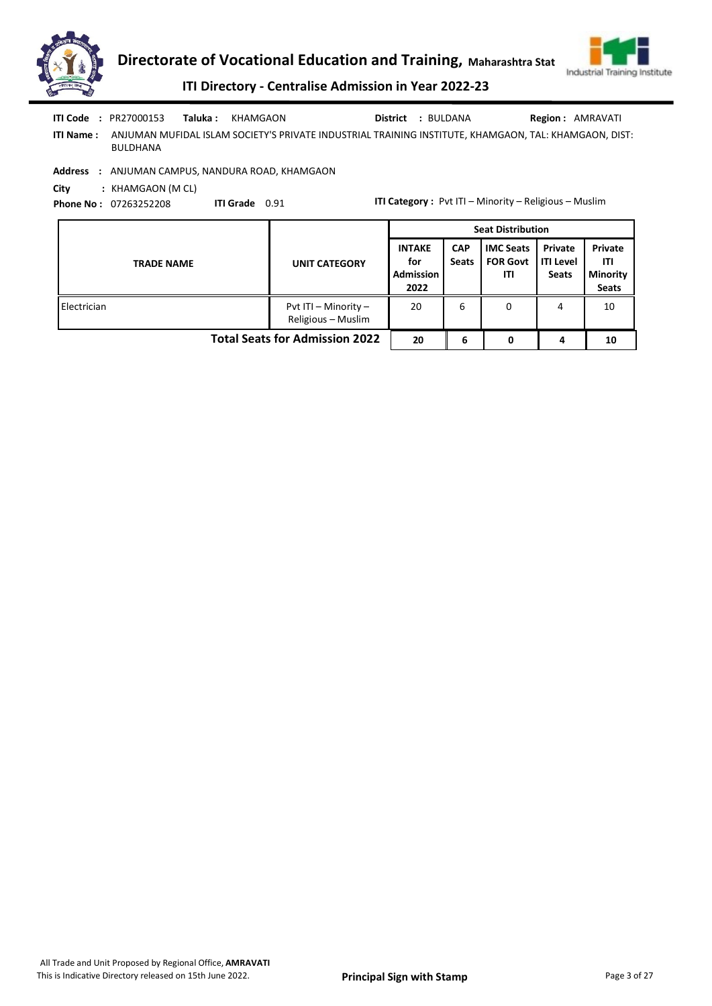



ITI Directory - Centralise Admission in Year 2022-23

| ITI Code         | Taluka :<br>: PR27000153                 | KHAMGAON                                                                                              | <b>District : BULDANA</b> | <b>Region: AMRAVATI</b> |
|------------------|------------------------------------------|-------------------------------------------------------------------------------------------------------|---------------------------|-------------------------|
| <b>ITI Name:</b> | BULDHANA                                 | ANJUMAN MUFIDAL ISLAM SOCIETY'S PRIVATE INDUSTRIAL TRAINING INSTITUTE, KHAMGAON, TAL: KHAMGAON, DIST: |                           |                         |
| Address          | : ANJUMAN CAMPUS, NANDURA ROAD, KHAMGAON |                                                                                                       |                           |                         |
| City             | : KHAMGAON (M CL)                        |                                                                                                       |                           |                         |

Phone No : 07263252208 ITI Grade 0.91

ITI Category : Pvt ITI – Minority – Religious – Muslim

|                                       |                                            |                                                  | <b>Seat Distribution</b>   |                                            |                                               |                                                   |  |  |
|---------------------------------------|--------------------------------------------|--------------------------------------------------|----------------------------|--------------------------------------------|-----------------------------------------------|---------------------------------------------------|--|--|
| <b>TRADE NAME</b>                     | <b>UNIT CATEGORY</b>                       | <b>INTAKE</b><br>for<br><b>Admission</b><br>2022 | <b>CAP</b><br><b>Seats</b> | <b>IMC Seats</b><br><b>FOR Govt</b><br>ΙTΙ | Private<br><b>I</b> ITI Level<br><b>Seats</b> | Private<br>ITI<br><b>Minority</b><br><b>Seats</b> |  |  |
| Electrician                           | Pvt ITI - Minority -<br>Religious - Muslim | 20                                               | 6                          | 0                                          | 4                                             | 10                                                |  |  |
| <b>Total Seats for Admission 2022</b> | 20                                         | 6                                                | 0                          | 4                                          | 10                                            |                                                   |  |  |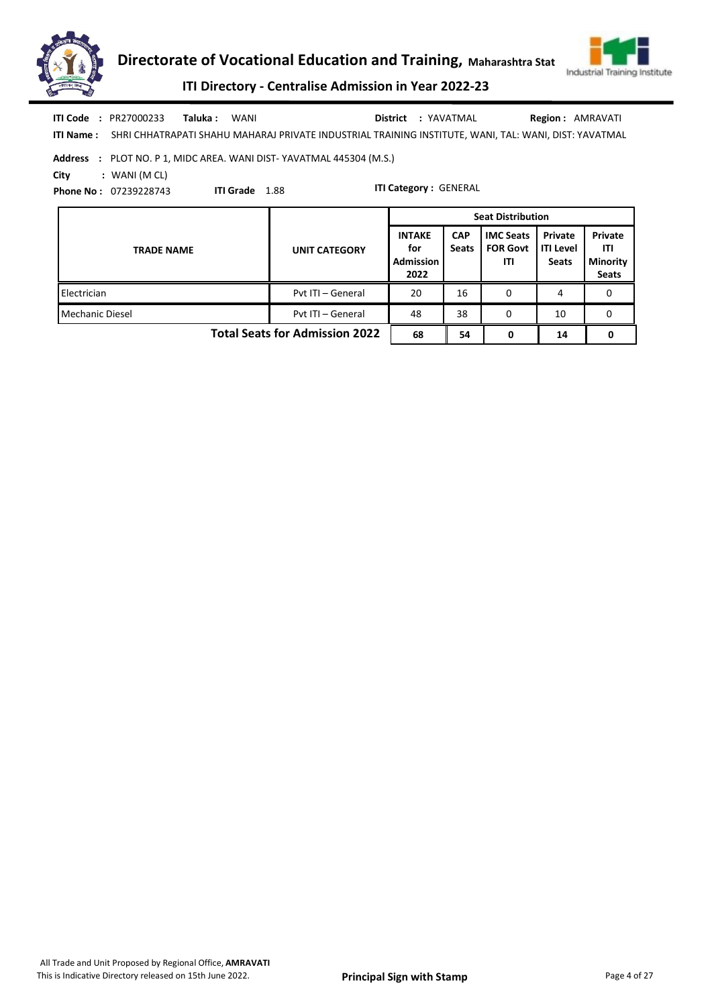



ITI Directory - Centralise Admission in Year 2022-23

|      | <b>ITI Code : PR27000233</b> | Taluka : | WANI                                                                                                                   | <b>District : YAVATMAL</b> | <b>Region: AMRAVATI</b> |
|------|------------------------------|----------|------------------------------------------------------------------------------------------------------------------------|----------------------------|-------------------------|
|      |                              |          | <b>ITI Name:</b> SHRI CHHATRAPATI SHAHU MAHARAJ PRIVATE INDUSTRIAL TRAINING INSTITUTE. WANI. TAL: WANI. DIST: YAVATMAL |                            |                         |
|      |                              |          | <b>Address : PLOT NO. P 1. MIDC AREA. WANI DIST-YAVATMAL 445304 (M.S.)</b>                                             |                            |                         |
| City | : WANI (M CL)                |          |                                                                                                                        |                            |                         |

Phone No : 07239228743

ITI Grade 1.88

|                                       |                      | <b>Seat Distribution</b>                         |                            |                                            |                                             |                                                   |  |  |
|---------------------------------------|----------------------|--------------------------------------------------|----------------------------|--------------------------------------------|---------------------------------------------|---------------------------------------------------|--|--|
| <b>TRADE NAME</b>                     | <b>UNIT CATEGORY</b> | <b>INTAKE</b><br>for<br><b>Admission</b><br>2022 | <b>CAP</b><br><b>Seats</b> | <b>IMC Seats</b><br><b>FOR Govt</b><br>ITI | Private<br><b>ITI Level</b><br><b>Seats</b> | Private<br>ITI<br><b>Minority</b><br><b>Seats</b> |  |  |
| Electrician                           | Pvt ITI - General    | 20                                               | 16                         | 0                                          | 4                                           | 0                                                 |  |  |
| Mechanic Diesel                       | Pyt ITI - General    | 48                                               | 38                         | 0                                          | 10                                          | 0                                                 |  |  |
| <b>Total Seats for Admission 2022</b> |                      |                                                  | 54                         | 0                                          | 14                                          | 0                                                 |  |  |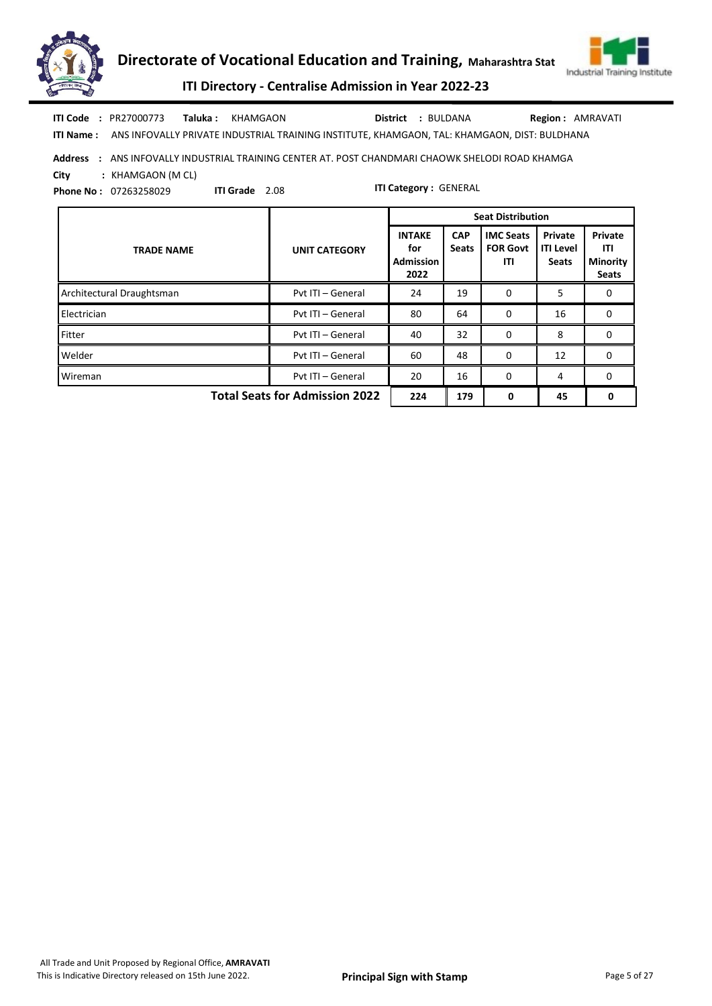



ITI Directory - Centralise Admission in Year 2022-23

Taluka : KHAMGAON District : BULDANA ITI Code : PR27000773 Taluka : KHAMGAON **District** : BULDANA Region : AMRAVATI

ITI Grade 2.08

ITI Name : ANS INFOVALLY PRIVATE INDUSTRIAL TRAINING INSTITUTE, KHAMGAON, TAL: KHAMGAON, DIST: BULDHANA

Address : ANS INFOVALLY INDUSTRIAL TRAINING CENTER AT. POST CHANDMARI CHAOWK SHELODI ROAD KHAMGA

City : KHAMGAON (M CL)

Phone No : 07263258029

|                                       |                      |                                                  |                     | <b>Seat Distribution</b>                   |                                             |                                                   |
|---------------------------------------|----------------------|--------------------------------------------------|---------------------|--------------------------------------------|---------------------------------------------|---------------------------------------------------|
| <b>TRADE NAME</b>                     | <b>UNIT CATEGORY</b> | <b>INTAKE</b><br>for<br><b>Admission</b><br>2022 | <b>CAP</b><br>Seats | <b>IMC Seats</b><br><b>FOR Govt</b><br>ITI | Private<br><b>ITI Level</b><br><b>Seats</b> | Private<br>ITI<br><b>Minority</b><br><b>Seats</b> |
| Architectural Draughtsman             | Pyt ITI - General    | 24                                               | 19                  | 0                                          | 5                                           | 0                                                 |
| Electrician                           | Pvt ITI - General    | 80                                               | 64                  | $\Omega$                                   | 16                                          | 0                                                 |
| Fitter                                | Pyt ITI - General    | 40                                               | 32                  | 0                                          | 8                                           | 0                                                 |
| Welder                                | Pyt ITI - General    | 60                                               | 48                  | 0                                          | 12                                          | 0                                                 |
| Wireman                               | Pyt ITI - General    | 20                                               | 16                  | $\Omega$                                   | 4                                           | 0                                                 |
| <b>Total Seats for Admission 2022</b> | 224                  | 179                                              | $\Omega$            | 45                                         | 0                                           |                                                   |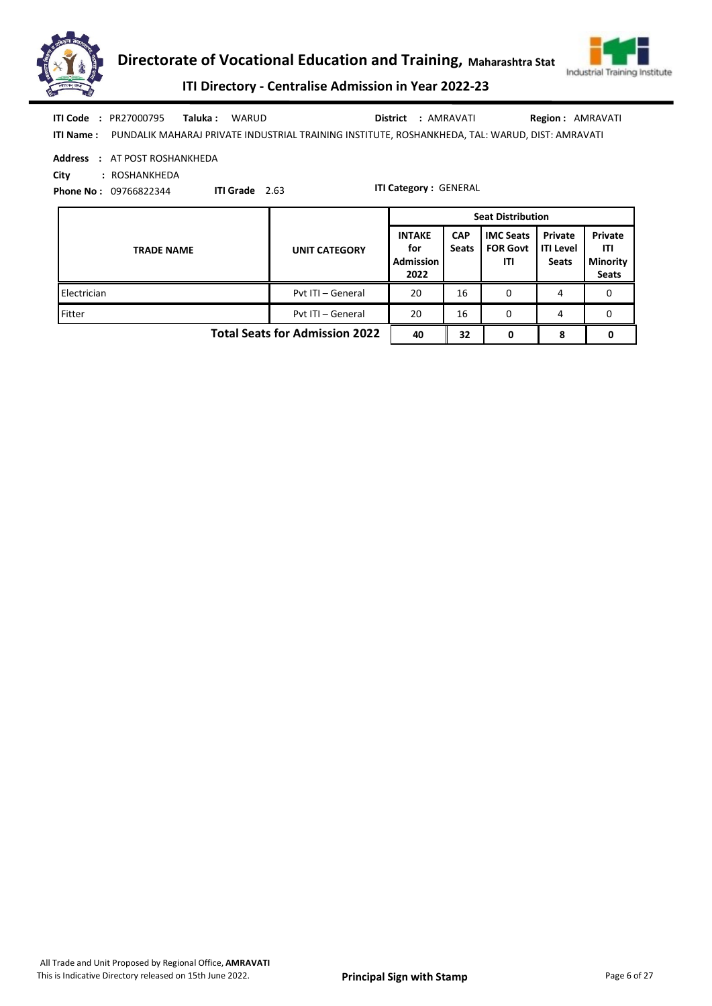



ITI Directory - Centralise Admission in Year 2022-23

| <b>ITI Code : PR27000795</b> | <b>Taluka</b> : WARUD |                                                                                                                  | District : AMRAVATI | <b>Region: AMRAVATI</b> |
|------------------------------|-----------------------|------------------------------------------------------------------------------------------------------------------|---------------------|-------------------------|
|                              |                       | <b>ITI Name:</b> PUNDALIK MAHARAJ PRIVATE INDUSTRIAL TRAINING INSTITUTE. ROSHANKHEDA. TAL: WARUD. DIST: AMRAVATI |                     |                         |

Address : AT POST ROSHANKHEDA

City : ROSHANKHEDA

Phone No : 09766822344

ITI Grade 2.63

|                                       |                      | <b>Seat Distribution</b>                         |                            |                                            |                                      |                                                   |
|---------------------------------------|----------------------|--------------------------------------------------|----------------------------|--------------------------------------------|--------------------------------------|---------------------------------------------------|
| <b>TRADE NAME</b>                     | <b>UNIT CATEGORY</b> | <b>INTAKE</b><br>for<br><b>Admission</b><br>2022 | <b>CAP</b><br><b>Seats</b> | <b>IMC Seats</b><br><b>FOR Govt</b><br>ITI | Private<br>ITI Level<br><b>Seats</b> | Private<br>ITI<br><b>Minority</b><br><b>Seats</b> |
| Electrician                           | Pvt ITI - General    | 20                                               | 16                         | 0                                          | 4                                    | 0                                                 |
| Fitter                                | Pvt ITI - General    | 20                                               | 16                         | 0                                          | 4                                    | 0                                                 |
| <b>Total Seats for Admission 2022</b> |                      |                                                  | 32                         | 0                                          | 8                                    | 0                                                 |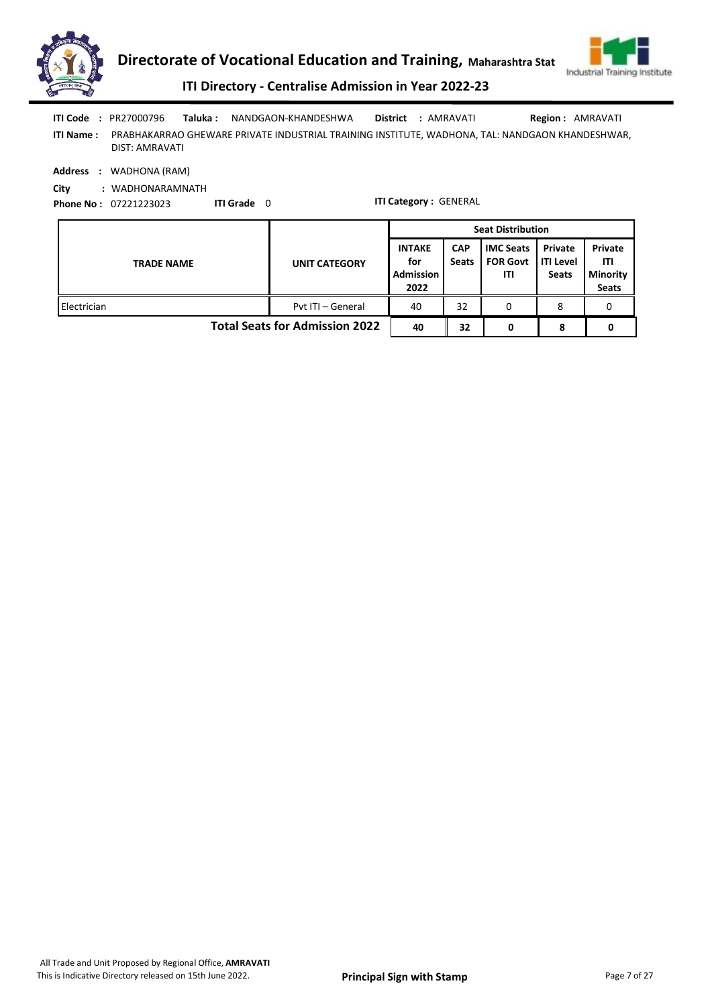



ITI Directory - Centralise Admission in Year 2022-23

ITI Name : PRABHAKARRAO GHEWARE PRIVATE INDUSTRIAL TRAINING INSTITUTE, WADHONA, TAL: NANDGAON KHANDESHWAR, DIST: AMRAVATI Taluka : NANDGAON-KHANDESHWA District : AMRAVATI ITI Code : PR27000796 Region : AMRAVATI

Address : WADHONA (RAM)

City : WADHONARAMNATH

Phone No : 07221223023 ITI Grade 0

|                                       |                      | <b>Seat Distribution</b>                         |                            |                                            |                                             |                                                   |  |
|---------------------------------------|----------------------|--------------------------------------------------|----------------------------|--------------------------------------------|---------------------------------------------|---------------------------------------------------|--|
| <b>TRADE NAME</b>                     | <b>UNIT CATEGORY</b> | <b>INTAKE</b><br>for<br><b>Admission</b><br>2022 | <b>CAP</b><br><b>Seats</b> | <b>IMC Seats</b><br><b>FOR Govt</b><br>ΙTΙ | Private<br><b>ITI Level</b><br><b>Seats</b> | Private<br>ITI<br><b>Minority</b><br><b>Seats</b> |  |
| Electrician                           | Pyt ITI - General    | 40                                               | 32                         | 0                                          | 8                                           |                                                   |  |
| <b>Total Seats for Admission 2022</b> |                      |                                                  | 32                         |                                            | 8                                           |                                                   |  |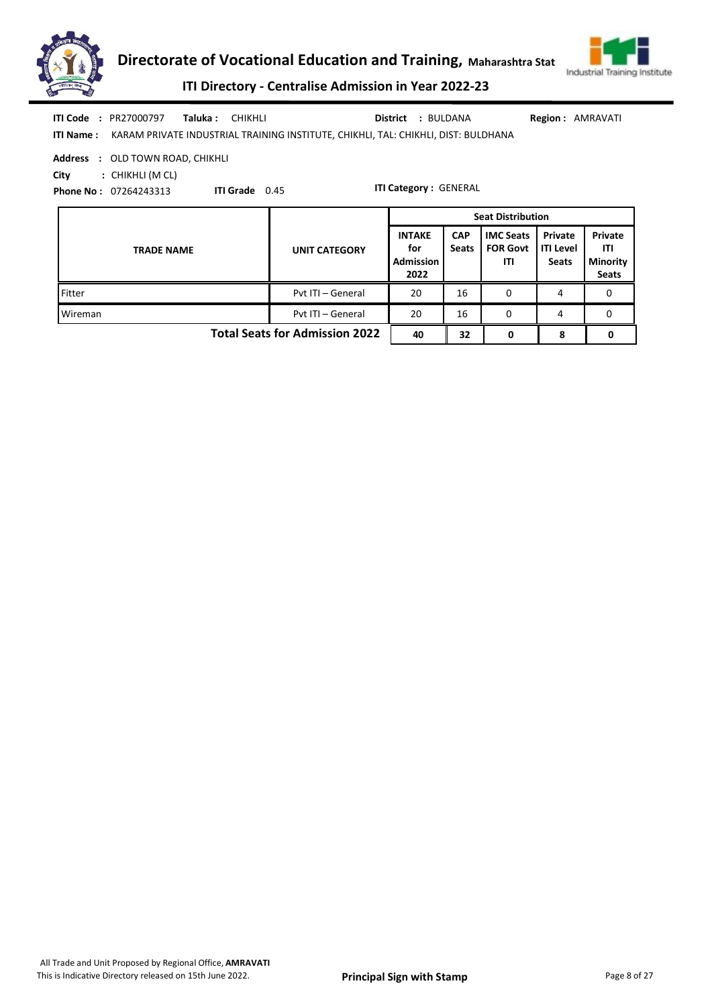



ITI Directory - Centralise Admission in Year 2022-23

| <b>ITI Code : PR27000797</b>     | <b>Taluka : CHIKHLI</b> |                                                                                                     | <b>District : BULDANA</b> | <b>Region: AMRAVATI</b> |  |
|----------------------------------|-------------------------|-----------------------------------------------------------------------------------------------------|---------------------------|-------------------------|--|
|                                  |                         | <b>ITI Name:</b> KARAM PRIVATE INDUSTRIAL TRAINING INSTITUTE. CHIKHLI. TAL: CHIKHLI. DIST: BULDHANA |                           |                         |  |
| Address : OLD TOWN ROAD, CHIKHLI |                         |                                                                                                     |                           |                         |  |

City : CHIKHLI (M CL)

Phone No : 07264243313

ITI Grade 0.45

|                                       |                      | <b>Seat Distribution</b>                         |                            |                                            |                                             |                                                   |
|---------------------------------------|----------------------|--------------------------------------------------|----------------------------|--------------------------------------------|---------------------------------------------|---------------------------------------------------|
| <b>TRADE NAME</b>                     | <b>UNIT CATEGORY</b> | <b>INTAKE</b><br>for<br><b>Admission</b><br>2022 | <b>CAP</b><br><b>Seats</b> | <b>IMC Seats</b><br><b>FOR Govt</b><br>ITI | Private<br><b>ITI Level</b><br><b>Seats</b> | Private<br>ITI<br><b>Minority</b><br><b>Seats</b> |
| Fitter                                | Pvt ITI - General    | 20                                               | 16                         | 0                                          | 4                                           | 0                                                 |
| Wireman                               | Pvt ITI - General    | 20                                               | 16                         | 0                                          | 4                                           | 0                                                 |
| <b>Total Seats for Admission 2022</b> |                      |                                                  | 32                         | 0                                          | 8                                           | 0                                                 |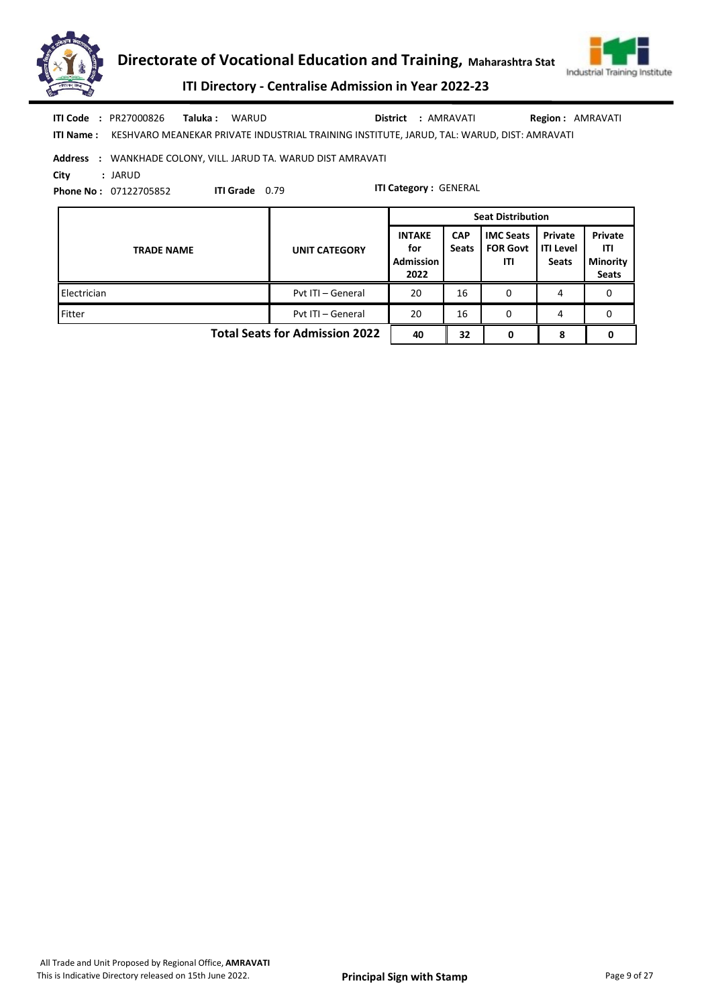



|            | <b>ITI Code : PR27000826</b>                                          | <b>Taluka : WARUD</b> |                       | District : AMRAVATI                                                                        | <b>Region: AMRAVATI</b> |  |  |  |  |
|------------|-----------------------------------------------------------------------|-----------------------|-----------------------|--------------------------------------------------------------------------------------------|-------------------------|--|--|--|--|
| ITI Name : |                                                                       |                       |                       | KESHVARO MEANEKAR PRIVATE INDUSTRIAL TRAINING INSTITUTE, JARUD, TAL: WARUD, DIST: AMRAVATI |                         |  |  |  |  |
|            | <b>Address : WANKHADE COLONY, VILL. JARUD TA. WARUD DIST AMRAVATI</b> |                       |                       |                                                                                            |                         |  |  |  |  |
| City       | : JARUD                                                               |                       |                       |                                                                                            |                         |  |  |  |  |
|            | <b>Phone No: 07122705852</b>                                          |                       | <b>ITI Grade</b> 0.79 | <b>ITI Category: GENERAL</b>                                                               |                         |  |  |  |  |

|                                       |                      | <b>Seat Distribution</b>                         |                            |                                            |                                      |                                                   |  |
|---------------------------------------|----------------------|--------------------------------------------------|----------------------------|--------------------------------------------|--------------------------------------|---------------------------------------------------|--|
| <b>TRADE NAME</b>                     | <b>UNIT CATEGORY</b> | <b>INTAKE</b><br>for<br><b>Admission</b><br>2022 | <b>CAP</b><br><b>Seats</b> | <b>IMC Seats</b><br><b>FOR Govt</b><br>ΙTΙ | Private<br><b>ITI Level</b><br>Seats | Private<br>ITI<br><b>Minority</b><br><b>Seats</b> |  |
| Electrician                           | Pyt ITI - General    | 20                                               | 16                         | 0                                          |                                      |                                                   |  |
| Fitter                                | Pyt ITI - General    | 20                                               | 16                         | 0                                          | 4                                    |                                                   |  |
| <b>Total Seats for Admission 2022</b> | 40                   | 32                                               | 0                          | 8                                          |                                      |                                                   |  |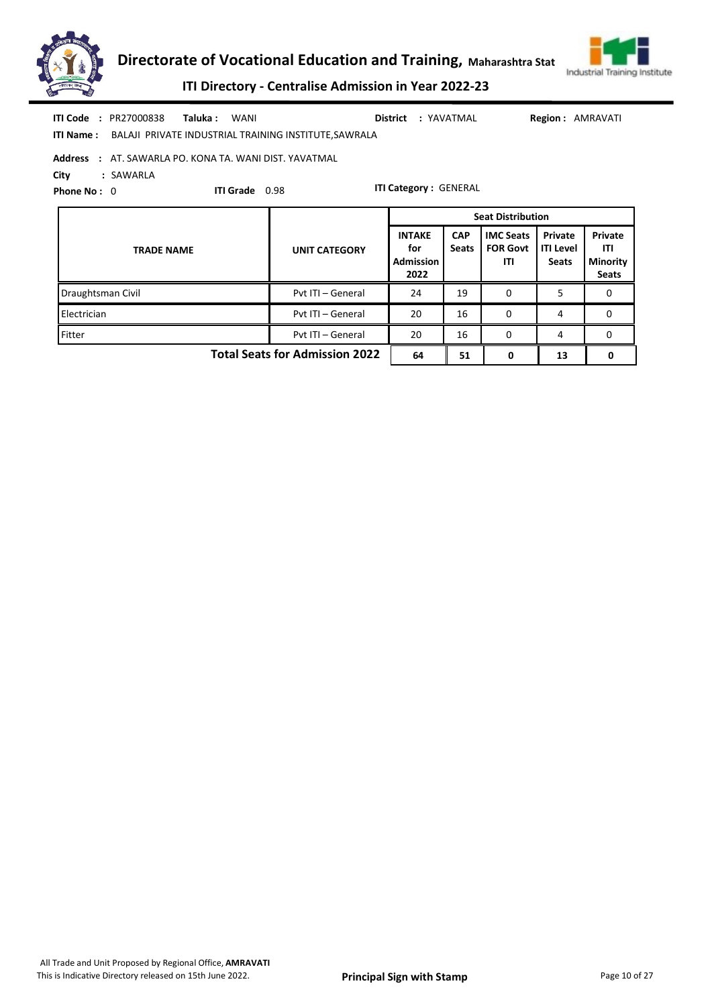



ITI Directory - Centralise Admission in Year 2022-23

| <b>ITI Code : PR27000838</b> | Taluka : | WANI                                                                  |  | District : YAVATMAL | <b>Region: AMRAVATI</b> |
|------------------------------|----------|-----------------------------------------------------------------------|--|---------------------|-------------------------|
|                              |          | <b>ITI Name:</b> BALAJI PRIVATE INDUSTRIAL TRAINING INSTITUTE.SAWRALA |  |                     |                         |
|                              |          | <b>Address</b> : AT. SAWARLA PO. KONA TA. WANI DIST. YAVATMAL         |  |                     |                         |

City : SAWARLA

Phone No: 0

ITI Grade 0.98

|                                       |                      |                                                  | <b>Seat Distribution</b>   |                                            |                                             |                                            |
|---------------------------------------|----------------------|--------------------------------------------------|----------------------------|--------------------------------------------|---------------------------------------------|--------------------------------------------|
| <b>TRADE NAME</b>                     | <b>UNIT CATEGORY</b> | <b>INTAKE</b><br>for<br><b>Admission</b><br>2022 | <b>CAP</b><br><b>Seats</b> | <b>IMC Seats</b><br><b>FOR Govt</b><br>ITI | Private<br><b>ITI Level</b><br><b>Seats</b> | Private<br>ITI<br><b>Minority</b><br>Seats |
| Draughtsman Civil                     | Pyt ITI - General    | 24                                               | 19                         | 0                                          | 5                                           | 0                                          |
| Electrician                           | Pvt ITI - General    | 20                                               | 16                         | 0                                          | 4                                           | 0                                          |
| Fitter                                | Pyt ITI - General    | 20                                               | 16                         | 0                                          | 4                                           | 0                                          |
| <b>Total Seats for Admission 2022</b> | 64                   | 51                                               | 0                          | 13                                         |                                             |                                            |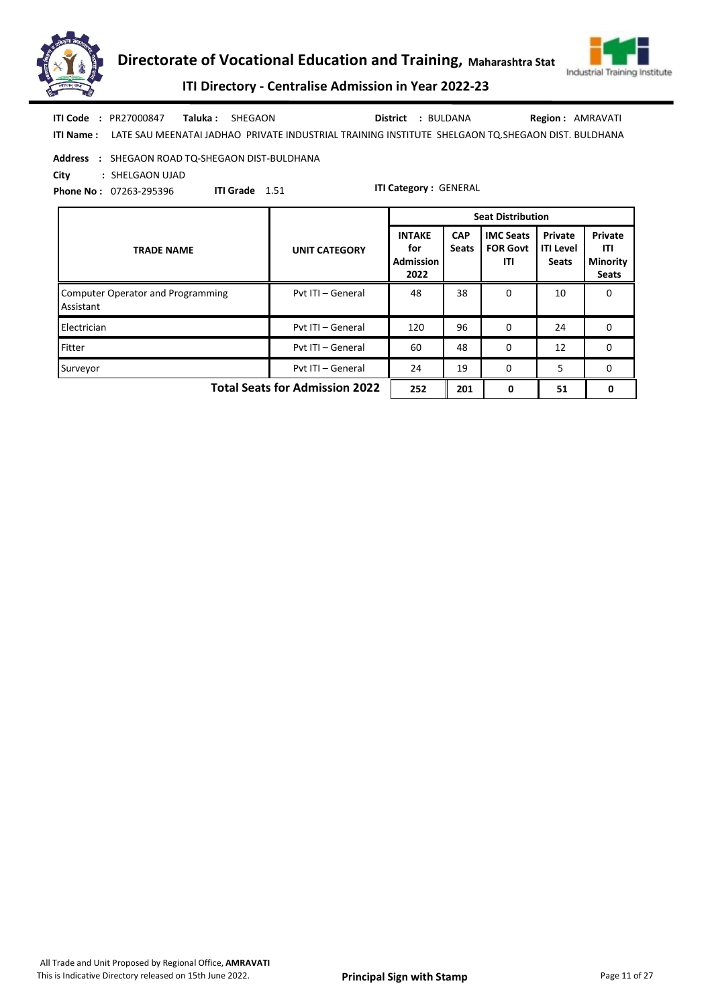



ITI Directory - Centralise Admission in Year 2022-23

ITI Name : LATE SAU MEENATAI JADHAO PRIVATE INDUSTRIAL TRAINING INSTITUTE SHELGAON TQ.SHEGAON DIST. BULDHANA Taluka : SHEGAON District : BULDANA ITI Code : PR27000847 Taluka : SHEGAON **District** : BULDANA Region : AMRAVATI

Address : SHEGAON ROAD TQ-SHEGAON DIST-BULDHANA

City : SHELGAON UJAD

Phone No : 07263-295396

ITI Grade 1.51

|                                                       |                      | <b>Seat Distribution</b>                         |                            |                                            |                                             |                                            |
|-------------------------------------------------------|----------------------|--------------------------------------------------|----------------------------|--------------------------------------------|---------------------------------------------|--------------------------------------------|
| <b>TRADE NAME</b>                                     | <b>UNIT CATEGORY</b> | <b>INTAKE</b><br>for<br><b>Admission</b><br>2022 | <b>CAP</b><br><b>Seats</b> | <b>IMC Seats</b><br><b>FOR Govt</b><br>ITI | Private<br><b>ITI Level</b><br><b>Seats</b> | Private<br>ITI<br>Minority<br><b>Seats</b> |
| <b>Computer Operator and Programming</b><br>Assistant | Pyt ITI - General    | 48                                               | 38                         | 0                                          | 10                                          | <sup>0</sup>                               |
| Electrician                                           | Pyt ITI - General    | 120                                              | 96                         | 0                                          | 24                                          | 0                                          |
| Fitter                                                | Pvt ITI - General    | 60                                               | 48                         | $\Omega$                                   | 12                                          | 0                                          |
| Surveyor                                              | Pvt ITI - General    | 24                                               | 19                         | $\Omega$                                   | 5                                           | $\Omega$                                   |
| <b>Total Seats for Admission 2022</b>                 | 252                  | 201                                              | 0                          | 51                                         | 0                                           |                                            |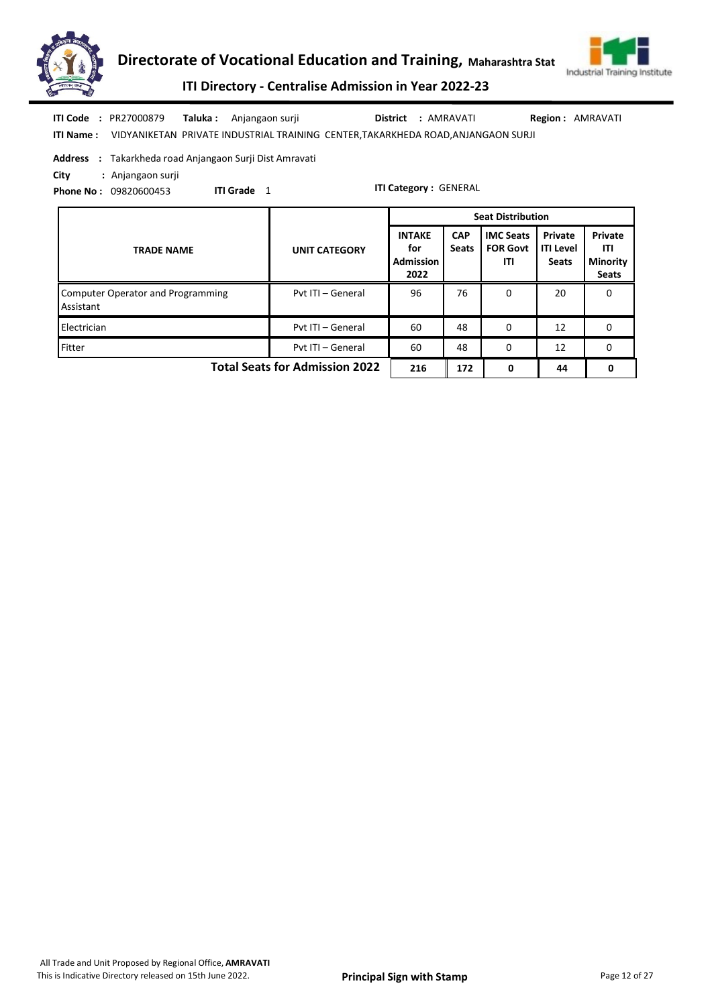



ITI Directory - Centralise Admission in Year 2022-23

|  | <b>ITI Code : PR27000879</b> | <b>Taluka:</b> Anjangaon surji | District : AMRAVATI                                                                                | <b>Region: AMRAVATI</b> |
|--|------------------------------|--------------------------------|----------------------------------------------------------------------------------------------------|-------------------------|
|  |                              |                                | <b>ITI Name:</b> VIDYANIKETAN PRIVATE INDUSTRIAL TRAINING CENTER, TAKARKHEDA ROAD, ANJANGAON SURJI |                         |

Address : Takarkheda road Anjangaon Surji Dist Amravati

ITI Grade 1

City : Anjangaon surji

Phone No : 09820600453

|                                                       |                      | <b>Seat Distribution</b>                         |                            |                                            |                                             |                                                   |
|-------------------------------------------------------|----------------------|--------------------------------------------------|----------------------------|--------------------------------------------|---------------------------------------------|---------------------------------------------------|
| <b>TRADE NAME</b>                                     | <b>UNIT CATEGORY</b> | <b>INTAKE</b><br>for<br><b>Admission</b><br>2022 | <b>CAP</b><br><b>Seats</b> | <b>IMC Seats</b><br><b>FOR Govt</b><br>ITI | Private<br><b>ITI Level</b><br><b>Seats</b> | Private<br>ITI<br><b>Minority</b><br><b>Seats</b> |
| <b>Computer Operator and Programming</b><br>Assistant | Pvt ITI - General    | 96                                               | 76                         | 0                                          | 20                                          | 0                                                 |
| Electrician                                           | Pvt ITI - General    | 60                                               | 48                         | $\Omega$                                   | 12                                          | 0                                                 |
| Fitter                                                | Pvt ITI - General    | 60                                               | 48                         | $\Omega$                                   | 12                                          | 0                                                 |
| <b>Total Seats for Admission 2022</b>                 | 216                  | 172                                              | 0                          | 44                                         | 0                                           |                                                   |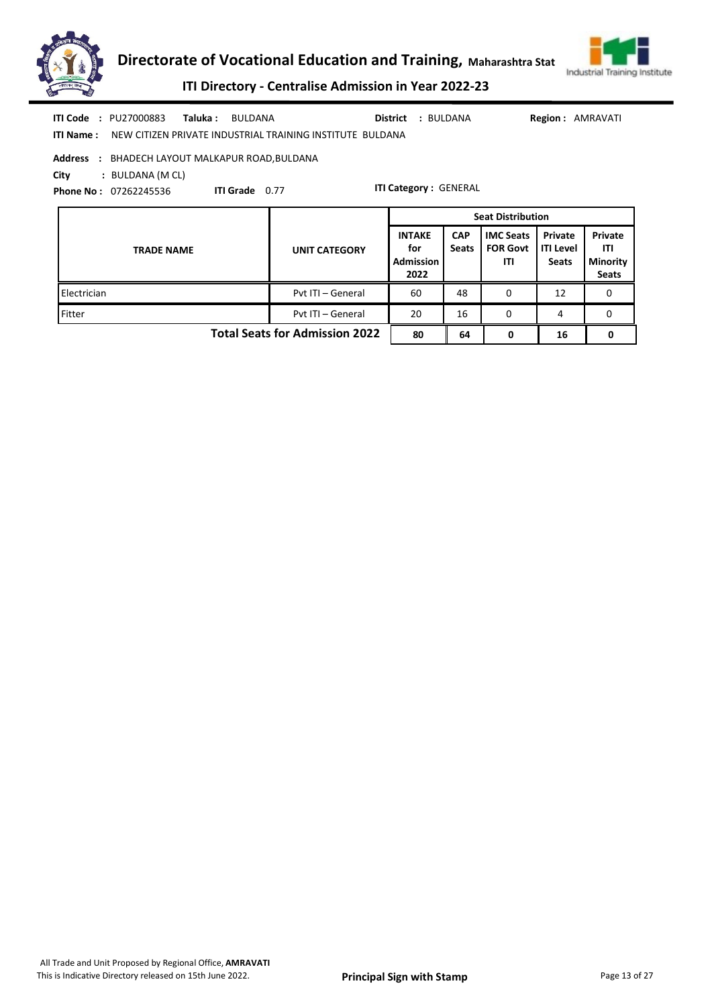



|            | <b>ITI Code : PU27000883</b>            | Taluka : | BULDANA                                                   |  | District : BULDANA           | <b>Region: AMRAVATI</b> |  |  |  |  |
|------------|-----------------------------------------|----------|-----------------------------------------------------------|--|------------------------------|-------------------------|--|--|--|--|
| ITI Name : |                                         |          | NEW CITIZEN PRIVATE INDUSTRIAL TRAINING INSTITUTE BULDANA |  |                              |                         |  |  |  |  |
| Address    | : BHADECH LAYOUT MALKAPUR ROAD, BULDANA |          |                                                           |  |                              |                         |  |  |  |  |
| City       | : BULDANA (M CL)                        |          |                                                           |  |                              |                         |  |  |  |  |
|            | <b>Phone No: 07262245536</b>            |          | <b>ITI Grade</b> 0.77                                     |  | <b>ITI Category: GENERAL</b> |                         |  |  |  |  |

|                                       |                      | <b>Seat Distribution</b>                         |                            |                                            |                                             |                                                   |  |
|---------------------------------------|----------------------|--------------------------------------------------|----------------------------|--------------------------------------------|---------------------------------------------|---------------------------------------------------|--|
| <b>TRADE NAME</b>                     | <b>UNIT CATEGORY</b> | <b>INTAKE</b><br>for<br><b>Admission</b><br>2022 | <b>CAP</b><br><b>Seats</b> | <b>IMC Seats</b><br><b>FOR Govt</b><br>ITI | Private<br><b>ITI Level</b><br><b>Seats</b> | Private<br>ITI<br><b>Minority</b><br><b>Seats</b> |  |
| Electrician                           | Pvt ITI - General    | 60                                               | 48                         | 0                                          | 12                                          | 0                                                 |  |
| Fitter                                | Pvt ITI - General    | 20                                               | 16                         | 0                                          | 4                                           | 0                                                 |  |
| <b>Total Seats for Admission 2022</b> | 80                   | 64                                               | 0                          | 16                                         |                                             |                                                   |  |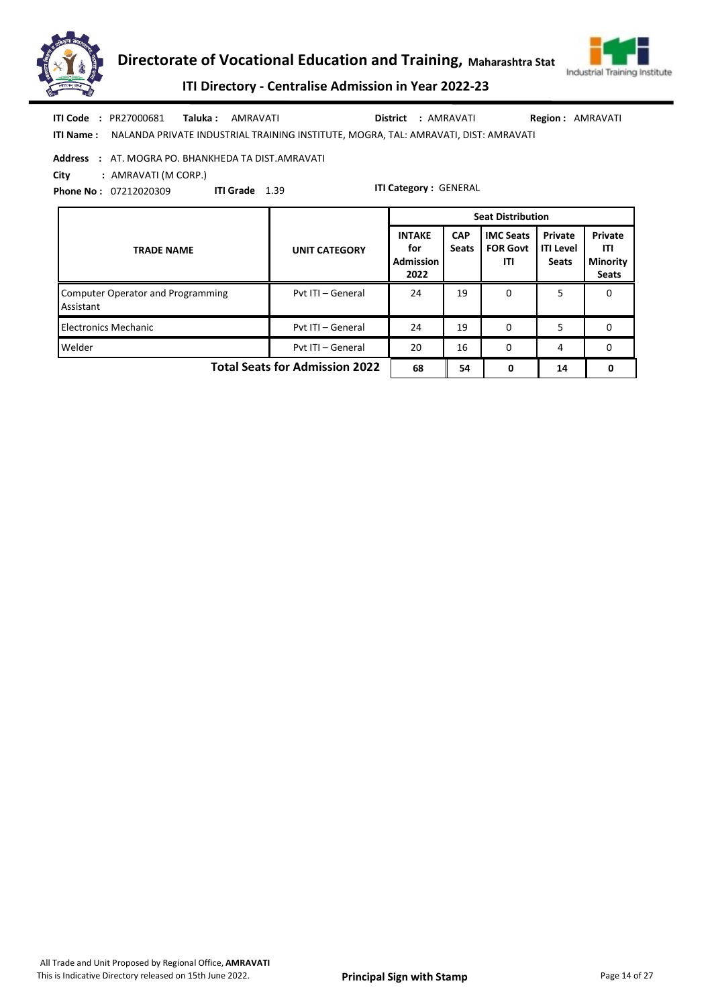



ITI Directory - Centralise Admission in Year 2022-23

ITI Name : NALANDA PRIVATE INDUSTRIAL TRAINING INSTITUTE, MOGRA, TAL: AMRAVATI, DIST: AMRAVATI Taluka : AMRAVATI District : AMRAVATI ITI Code : PR27000681 Region : AMRAVATI

Address : AT. MOGRA PO. BHANKHEDA TA DIST.AMRAVATI

City : AMRAVATI (M CORP.)

Phone No : 07212020309 ITI Grade 1.39

|                                                       |                      | <b>Seat Distribution</b>                         |                            |                                            |                                             |                                                   |
|-------------------------------------------------------|----------------------|--------------------------------------------------|----------------------------|--------------------------------------------|---------------------------------------------|---------------------------------------------------|
| <b>TRADE NAME</b>                                     | <b>UNIT CATEGORY</b> | <b>INTAKE</b><br>for<br><b>Admission</b><br>2022 | <b>CAP</b><br><b>Seats</b> | <b>IMC Seats</b><br><b>FOR Govt</b><br>ITI | Private<br><b>ITI Level</b><br><b>Seats</b> | Private<br>ITI<br><b>Minority</b><br><b>Seats</b> |
| <b>Computer Operator and Programming</b><br>Assistant | Pyt ITI - General    | 24                                               | 19                         | 0                                          | 5                                           | 0                                                 |
| <b>Electronics Mechanic</b>                           | Pvt ITI - General    | 24                                               | 19                         | $\Omega$                                   | 5                                           | 0                                                 |
| Welder                                                | Pvt ITI - General    | 20                                               | 16                         | 0                                          | 4                                           | 0                                                 |
| <b>Total Seats for Admission 2022</b>                 | 68                   | 54                                               | 0                          | 14                                         | 0                                           |                                                   |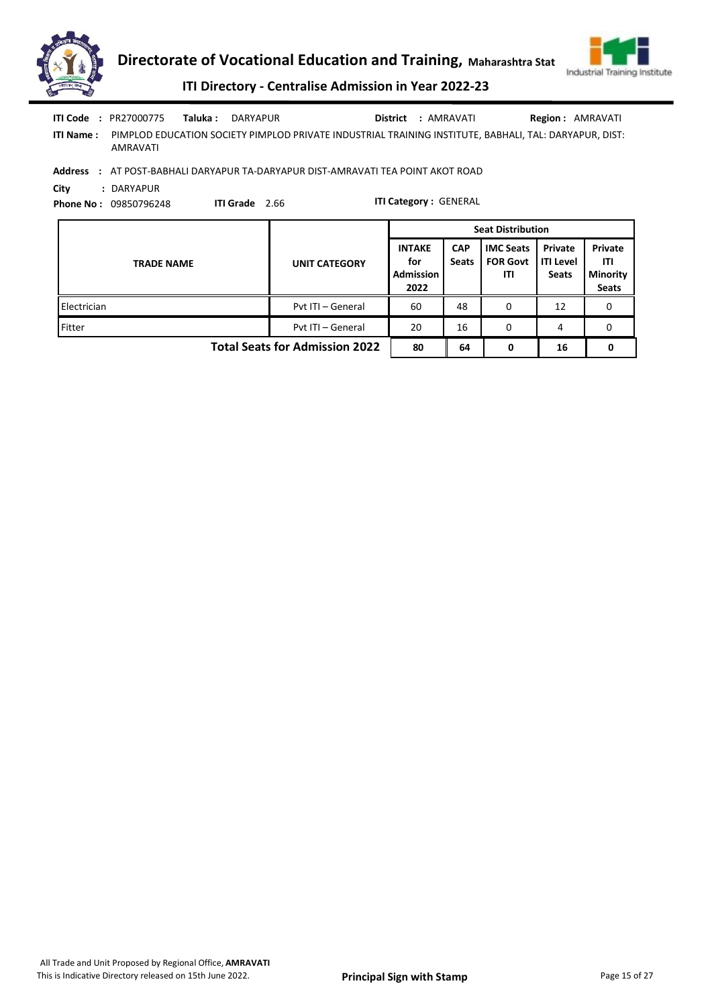

| ITI Code         | : PR27000775 | Taluka : | DARYAPUR                                                                                               | District | : AMRAVATI | <b>Region: AMRAVATI</b> |
|------------------|--------------|----------|--------------------------------------------------------------------------------------------------------|----------|------------|-------------------------|
| <b>ITI Name:</b> | AMRAVATI     |          | PIMPLOD EDUCATION SOCIETY PIMPLOD PRIVATE INDUSTRIAL TRAINING INSTITUTE. BABHALI. TAL: DARYAPUR. DIST: |          |            |                         |
| <b>Address</b>   |              |          | AT DOCT RARHALLDARVARUR TA DARVARUR DICT AMARAVATI TEA ROINT AVOT ROAD                                 |          |            |                         |

Address : AT POST-BABHALI DARYAPUR TA-DARYAPUR DIST-AMRAVATI TEA POINT AKOT ROAD

City : DARYAPUR

Phone No : 09850796248

ITI Grade 2.66

|                                       |                      | <b>Seat Distribution</b>                         |                            |                                            |                                      |                                                          |  |
|---------------------------------------|----------------------|--------------------------------------------------|----------------------------|--------------------------------------------|--------------------------------------|----------------------------------------------------------|--|
| <b>TRADE NAME</b>                     | <b>UNIT CATEGORY</b> | <b>INTAKE</b><br>for<br><b>Admission</b><br>2022 | <b>CAP</b><br><b>Seats</b> | <b>IMC Seats</b><br><b>FOR Govt</b><br>ITI | Private<br>ITI Level<br><b>Seats</b> | Private<br><b>ITI</b><br><b>Minority</b><br><b>Seats</b> |  |
| Electrician                           | Pyt ITI - General    | 60                                               | 48                         | 0                                          | 12                                   |                                                          |  |
| Fitter                                | Pyt ITI - General    | 20                                               | 16                         | 0                                          | 4                                    | 0                                                        |  |
| <b>Total Seats for Admission 2022</b> | 80                   | 64                                               | 0                          | 16                                         | 0                                    |                                                          |  |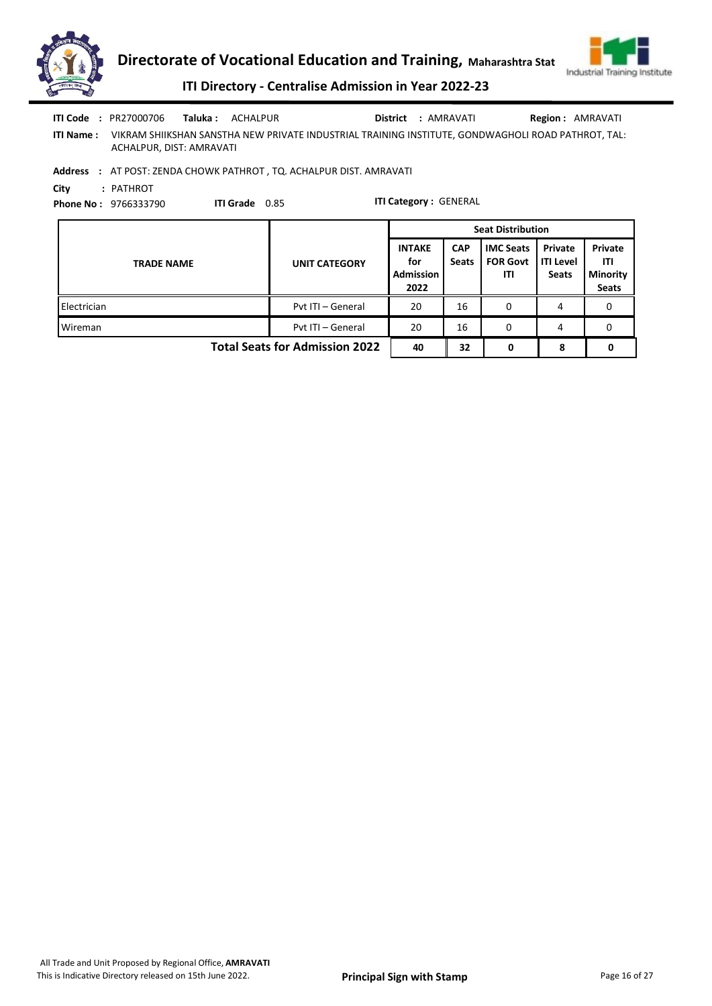

| ITI Code<br><b>ITI Name:</b> | : PR27000706<br>Taluka :<br>VIKRAM SHIIKSHAN SANSTHA NEW PRIVATE INDUSTRIAL TRAINING INSTITUTE, GONDWAGHOLI ROAD PATHROT, TAL:<br>ACHALPUR, DIST: AMRAVATI               | ACHALPUR | District             | : AMRAVATI                                       |                            |                                            | <b>Region: AMRAVATI</b>                     |                                                   |  |  |  |  |
|------------------------------|--------------------------------------------------------------------------------------------------------------------------------------------------------------------------|----------|----------------------|--------------------------------------------------|----------------------------|--------------------------------------------|---------------------------------------------|---------------------------------------------------|--|--|--|--|
| City                         | Address : AT POST: ZENDA CHOWK PATHROT, TQ. ACHALPUR DIST. AMRAVATI<br>: PATHROT<br><b>ITI Category: GENERAL</b><br><b>ITI Grade</b> 0.85<br><b>Phone No: 9766333790</b> |          |                      |                                                  |                            |                                            |                                             |                                                   |  |  |  |  |
|                              |                                                                                                                                                                          |          |                      | <b>Seat Distribution</b>                         |                            |                                            |                                             |                                                   |  |  |  |  |
|                              | <b>TRADE NAME</b>                                                                                                                                                        |          | <b>UNIT CATEGORY</b> | <b>INTAKE</b><br>for<br><b>Admission</b><br>2022 | <b>CAP</b><br><b>Seats</b> | <b>IMC Seats</b><br><b>FOR Govt</b><br>ITI | Private<br><b>ITI Level</b><br><b>Seats</b> | Private<br>ITL<br><b>Minority</b><br><b>Seats</b> |  |  |  |  |
| Electrician                  |                                                                                                                                                                          |          | Pvt ITI - General    | 20                                               | 16                         | $\Omega$                                   | 4                                           | 0                                                 |  |  |  |  |

Wireman **Wireman** Pvt ITI – General 20 16 0 4 0

Total Seats for Admission 2022  $\begin{array}{|c|c|c|c|c|c|c|c|} \hline 40 & 32 & 0 & 8 & 0 \ \hline \end{array}$ 

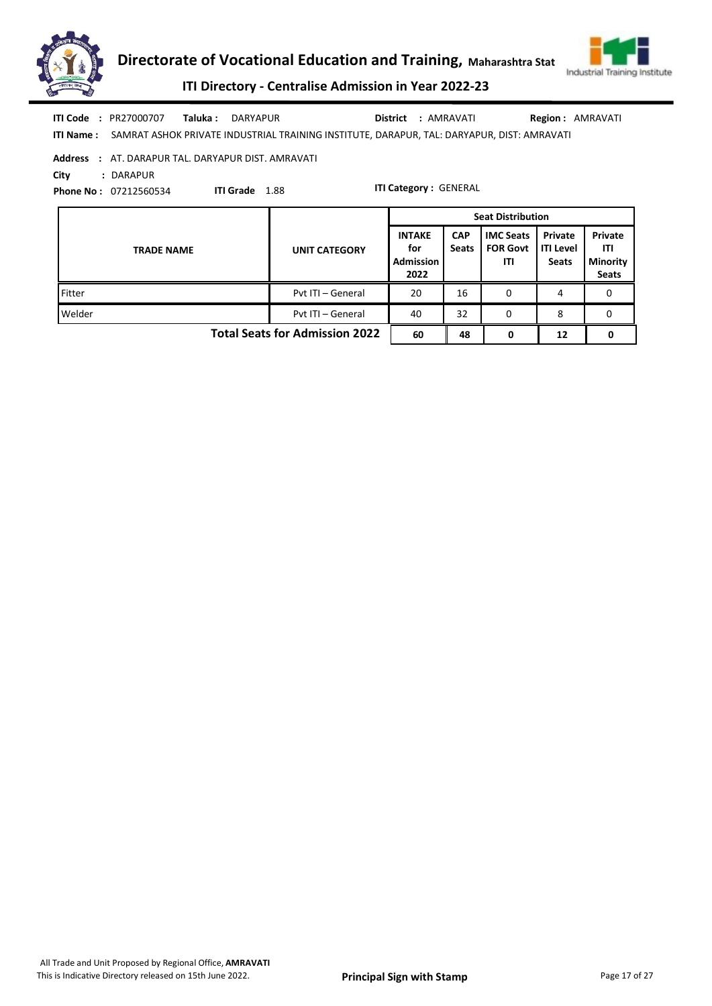



ITI Directory - Centralise Admission in Year 2022-23

|  | <b>ITI Code : PR27000707</b> | Taluka: DARYAPUR                                                                                     | District : AMRAVATI | <b>Region: AMRAVATI</b> |
|--|------------------------------|------------------------------------------------------------------------------------------------------|---------------------|-------------------------|
|  |                              | ITI Name: SAMRAT ASHOK PRIVATE INDUSTRIAL TRAINING INSTITUTE, DARAPUR, TAL: DARYAPUR, DIST: AMRAVATI |                     |                         |

Address : AT. DARAPUR TAL. DARYAPUR DIST. AMRAVATI City : DARAPUR

ITI Grade 1.88

Phone No : 07212560534

|                                       |                      | <b>Seat Distribution</b>                         |                            |                                            |                                             |                                                   |  |
|---------------------------------------|----------------------|--------------------------------------------------|----------------------------|--------------------------------------------|---------------------------------------------|---------------------------------------------------|--|
| <b>TRADE NAME</b>                     | <b>UNIT CATEGORY</b> | <b>INTAKE</b><br>for<br><b>Admission</b><br>2022 | <b>CAP</b><br><b>Seats</b> | <b>IMC Seats</b><br><b>FOR Govt</b><br>ITI | Private<br><b>ITI Level</b><br><b>Seats</b> | Private<br>ITI<br><b>Minority</b><br><b>Seats</b> |  |
| Fitter                                | Pyt ITI - General    | 20                                               | 16                         | 0                                          | 4                                           | 0                                                 |  |
| Welder                                | Pyt ITI - General    | 40                                               | 32                         | 0                                          | 8                                           | 0                                                 |  |
| <b>Total Seats for Admission 2022</b> |                      |                                                  | 48                         | 0                                          | 12                                          | 0                                                 |  |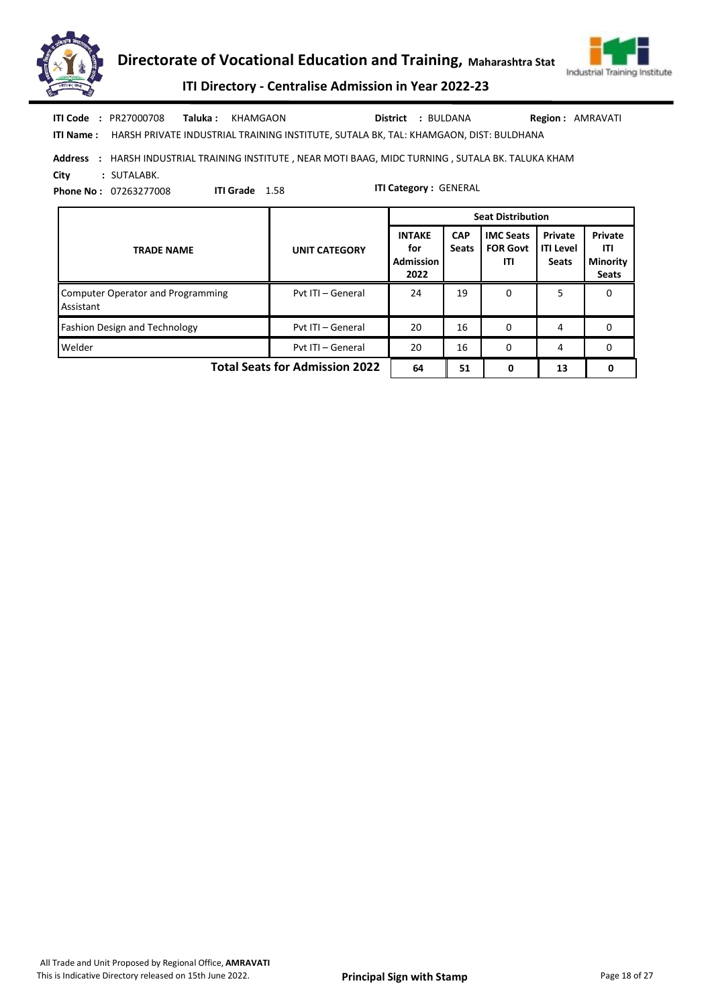



ITI Directory - Centralise Admission in Year 2022-23

| <b>ITI Code : PR27000708</b> | <b>Taluka : KHAMGAON</b>                                                                        | <b>District : BULDANA</b> | <b>Region: AMRAVATI</b> |
|------------------------------|-------------------------------------------------------------------------------------------------|---------------------------|-------------------------|
|                              | ITI Name: HARSH PRIVATE INDUSTRIAL TRAINING INSTITUTE, SUTALA BK, TAL: KHAMGAON, DIST: BULDHANA |                           |                         |

Address : HARSH INDUSTRIAL TRAINING INSTITUTE , NEAR MOTI BAAG, MIDC TURNING , SUTALA BK. TALUKA KHAM City : SUTALABK.

ITI Grade 1.58

Phone No : 07263277008

|                                                       |                      |                                                  |                            | <b>Seat Distribution</b>                   |                                             |                                                   |
|-------------------------------------------------------|----------------------|--------------------------------------------------|----------------------------|--------------------------------------------|---------------------------------------------|---------------------------------------------------|
| <b>TRADE NAME</b>                                     | <b>UNIT CATEGORY</b> | <b>INTAKE</b><br>for<br><b>Admission</b><br>2022 | <b>CAP</b><br><b>Seats</b> | <b>IMC Seats</b><br><b>FOR Govt</b><br>ITI | Private<br><b>ITI Level</b><br><b>Seats</b> | Private<br>ITI<br><b>Minority</b><br><b>Seats</b> |
| <b>Computer Operator and Programming</b><br>Assistant | Pyt ITI - General    | 24                                               | 19                         | 0                                          | 5                                           | n                                                 |
| Fashion Design and Technology                         | Pyt ITI - General    | 20                                               | 16                         | 0                                          | 4                                           | 0                                                 |
| Welder                                                | Pvt ITI - General    | 20                                               | 16                         | $\Omega$                                   | 4                                           | 0                                                 |
| <b>Total Seats for Admission 2022</b>                 | 64                   | 51                                               | 0                          | 13                                         |                                             |                                                   |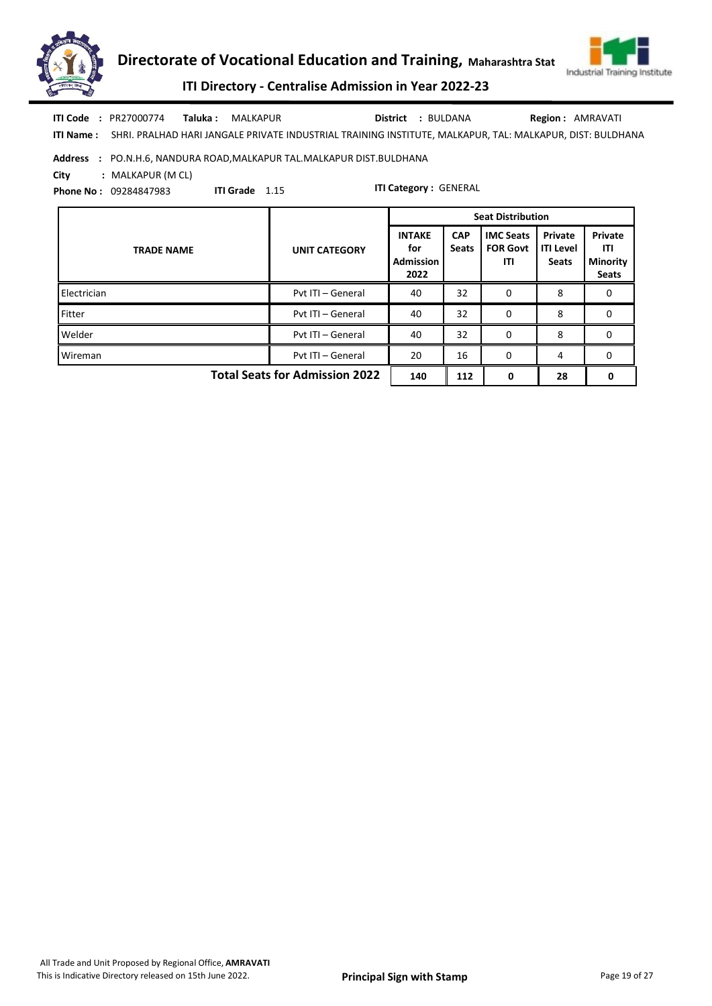



ITI Directory - Centralise Admission in Year 2022-23

ITI Name : SHRI. PRALHAD HARI JANGALE PRIVATE INDUSTRIAL TRAINING INSTITUTE, MALKAPUR, TAL: MALKAPUR, DIST: BULDHANA Taluka : MALKAPUR District : BULDANA ITI Code : PR27000774 Taluka : MALKAPUR District : BULDANA Region : AMRAVATI

## Address : PO.N.H.6, NANDURA ROAD,MALKAPUR TAL.MALKAPUR DIST.BULDHANA

ITI Grade 1.15

City : MALKAPUR (M CL)

Phone No : 09284847983

|                                       |                      | <b>Seat Distribution</b>                         |                            |                                            |                                             |                                                   |  |
|---------------------------------------|----------------------|--------------------------------------------------|----------------------------|--------------------------------------------|---------------------------------------------|---------------------------------------------------|--|
| <b>TRADE NAME</b>                     | <b>UNIT CATEGORY</b> | <b>INTAKE</b><br>for<br><b>Admission</b><br>2022 | <b>CAP</b><br><b>Seats</b> | <b>IMC Seats</b><br><b>FOR Govt</b><br>ITI | Private<br><b>ITI Level</b><br><b>Seats</b> | Private<br>ITI<br><b>Minority</b><br><b>Seats</b> |  |
| Electrician                           | Pyt ITI - General    | 40                                               | 32                         | 0                                          | 8                                           | 0                                                 |  |
| Fitter                                | Pvt ITI - General    | 40                                               | 32                         | 0                                          | 8                                           | 0                                                 |  |
| Welder                                | Pvt ITI - General    | 40                                               | 32                         | 0                                          | 8                                           | 0                                                 |  |
| Wireman                               | Pyt ITI - General    | 20                                               | 16                         | $\Omega$                                   | 4                                           | 0                                                 |  |
| <b>Total Seats for Admission 2022</b> | 140                  | 112                                              | 0                          | 28                                         | 0                                           |                                                   |  |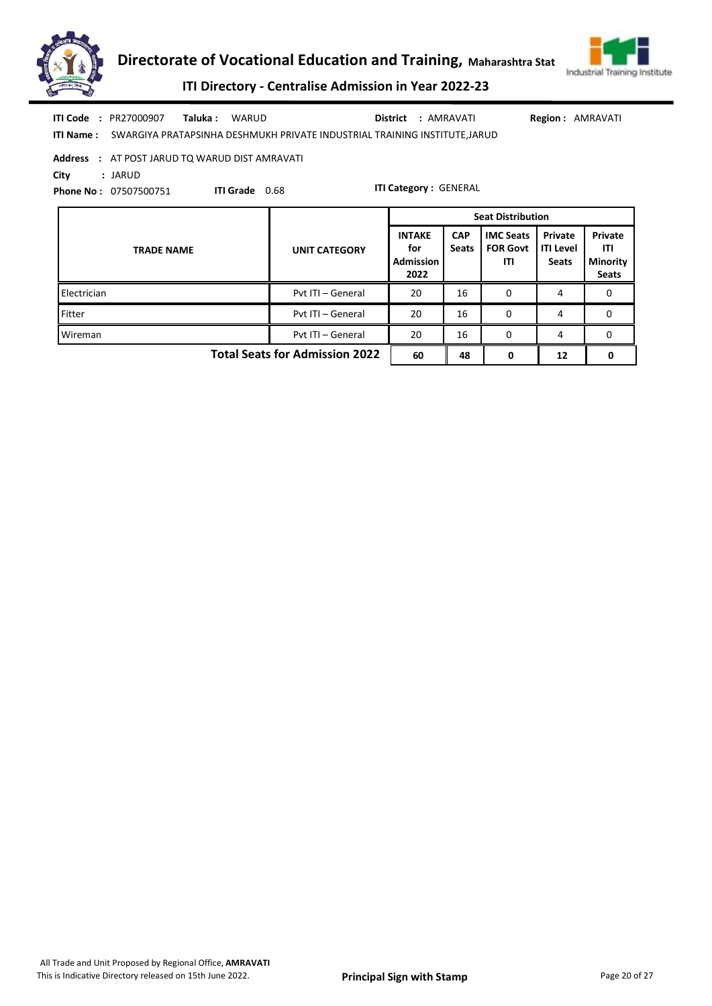



ITI Directory - Centralise Admission in Year 2022-23

|      | <b>ITI Code : PR27000907</b> | Taluka : | WARUD                                                                                      | <b>District : AMRAVATI</b> | <b>Region: AMRAVATI</b> |
|------|------------------------------|----------|--------------------------------------------------------------------------------------------|----------------------------|-------------------------|
|      |                              |          | <b>ITI Name:</b> SWARGIYA PRATAPSINHA DESHMUKH PRIVATE INDUSTRIAL TRAINING INSTITUTE.JARUD |                            |                         |
|      |                              |          | Address : AT POST JARUD TQ WARUD DIST AMRAVATI                                             |                            |                         |
| City | : JARUD                      |          |                                                                                            |                            |                         |

ITI Grade 0.68

Phone No : 07507500751

|                                       |                      | <b>Seat Distribution</b>                         |                            |                                            |                                             |                                                   |  |
|---------------------------------------|----------------------|--------------------------------------------------|----------------------------|--------------------------------------------|---------------------------------------------|---------------------------------------------------|--|
| <b>TRADE NAME</b>                     | <b>UNIT CATEGORY</b> | <b>INTAKE</b><br>for<br><b>Admission</b><br>2022 | <b>CAP</b><br><b>Seats</b> | <b>IMC Seats</b><br><b>FOR Govt</b><br>ITI | Private<br><b>ITI Level</b><br><b>Seats</b> | Private<br>ITI<br><b>Minority</b><br><b>Seats</b> |  |
| Electrician                           | Pyt ITI - General    | 20                                               | 16                         | 0                                          | 4                                           | 0                                                 |  |
| Fitter                                | Pyt ITI - General    | 20                                               | 16                         | $\Omega$                                   | 4                                           | 0                                                 |  |
| Wireman                               | Pyt ITI - General    | 20                                               | 16                         | 0                                          | 4                                           | 0                                                 |  |
| <b>Total Seats for Admission 2022</b> | 60                   | 48                                               | 0                          | 12                                         | 0                                           |                                                   |  |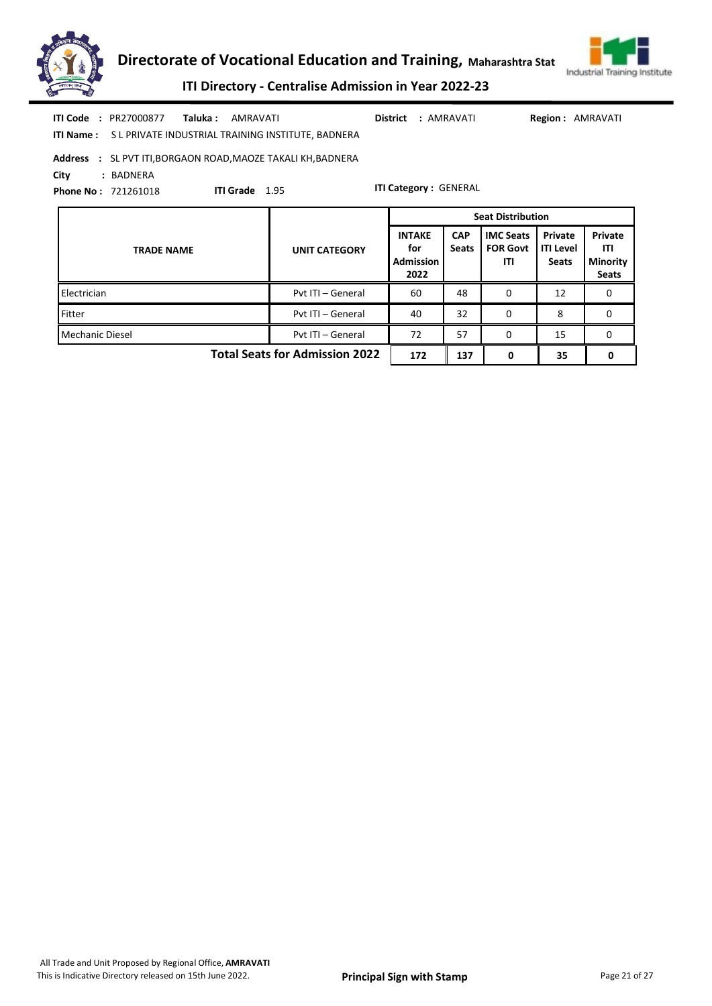



| <b>ITI Code : PR27000877</b><br><b>Taluka : AMRAVATI</b><br><b>ITI Name: SL PRIVATE INDUSTRIAL TRAINING INSTITUTE, BADNERA</b>                                                  |                                       | District                                  | : AMRAVATI                 |                                            | <b>Region: AMRAVATI</b>                     |                                                   |  |  |  |  |  |
|---------------------------------------------------------------------------------------------------------------------------------------------------------------------------------|---------------------------------------|-------------------------------------------|----------------------------|--------------------------------------------|---------------------------------------------|---------------------------------------------------|--|--|--|--|--|
| <b>Address : SL PVT ITI, BORGAON ROAD, MAOZE TAKALI KH, BADNERA</b><br>City<br>: BADNERA<br><b>ITI Category: GENERAL</b><br><b>ITI Grade</b> 1.95<br><b>Phone No: 721261018</b> |                                       |                                           |                            |                                            |                                             |                                                   |  |  |  |  |  |
|                                                                                                                                                                                 |                                       |                                           |                            | <b>Seat Distribution</b>                   |                                             |                                                   |  |  |  |  |  |
| <b>TRADE NAME</b>                                                                                                                                                               | <b>UNIT CATEGORY</b>                  | <b>INTAKE</b><br>for<br>Admission<br>2022 | <b>CAP</b><br><b>Seats</b> | <b>IMC Seats</b><br><b>FOR Govt</b><br>ITI | Private<br><b>ITI Level</b><br><b>Seats</b> | Private<br>ITI<br><b>Minority</b><br><b>Seats</b> |  |  |  |  |  |
| Electrician                                                                                                                                                                     | Pvt ITI - General                     | 60                                        | 48                         | 0                                          | 12                                          | $\mathbf{0}$                                      |  |  |  |  |  |
| Fitter                                                                                                                                                                          | Pvt ITI - General                     | 40                                        | 32                         | 0                                          | 8                                           | $\mathbf{0}$                                      |  |  |  |  |  |
| <b>Mechanic Diesel</b>                                                                                                                                                          | Pvt ITI - General                     | 72                                        | 57                         | 0                                          | 15                                          | $\Omega$                                          |  |  |  |  |  |
|                                                                                                                                                                                 | <b>Total Seats for Admission 2022</b> | 172                                       | 137                        | 0                                          | 35                                          | 0                                                 |  |  |  |  |  |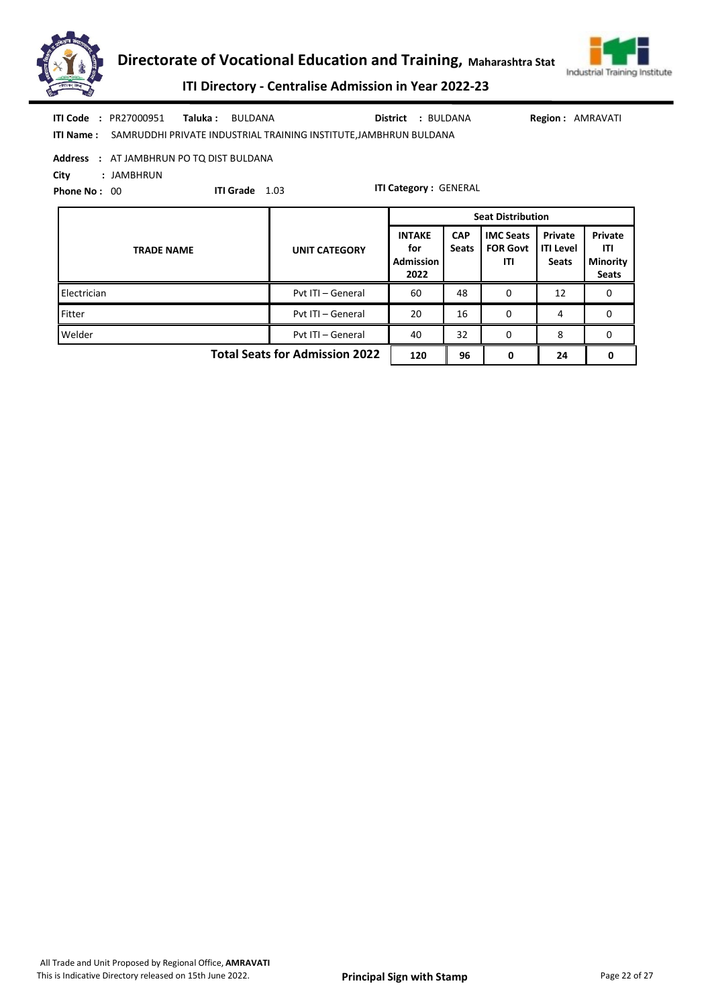



ITI Directory - Centralise Admission in Year 2022-23

| <b>ITI Code : PR27000951</b> | Taluka: BULDANA                                                             | District : BULDANA | <b>Region: AMRAVATI</b> |
|------------------------------|-----------------------------------------------------------------------------|--------------------|-------------------------|
|                              | ITI Name: SAMRUDDHI PRIVATE INDUSTRIAL TRAINING INSTITUTE, JAMBHRUN BULDANA |                    |                         |

Address : AT JAMBHRUN PO TQ DIST BULDANA

City : JAMBHRUN

Phone No: 00

ITI Grade 1.03

|                                       |                      | <b>Seat Distribution</b>                         |                            |                                            |                                             |                                                          |  |
|---------------------------------------|----------------------|--------------------------------------------------|----------------------------|--------------------------------------------|---------------------------------------------|----------------------------------------------------------|--|
| <b>TRADE NAME</b>                     | <b>UNIT CATEGORY</b> | <b>INTAKE</b><br>for<br><b>Admission</b><br>2022 | <b>CAP</b><br><b>Seats</b> | <b>IMC Seats</b><br><b>FOR Govt</b><br>ITI | Private<br><b>ITI Level</b><br><b>Seats</b> | <b>Private</b><br>ITI<br><b>Minority</b><br><b>Seats</b> |  |
| Electrician                           | Pyt ITI - General    | 60                                               | 48                         | 0                                          | 12                                          | 0                                                        |  |
| Fitter                                | Pvt ITI - General    | 20                                               | 16                         | 0                                          | 4                                           | 0                                                        |  |
| Welder                                | Pvt ITI - General    | 40                                               | 32                         | 0                                          | 8                                           | 0                                                        |  |
| <b>Total Seats for Admission 2022</b> | 120                  | 96                                               | 0                          | 24                                         | 0                                           |                                                          |  |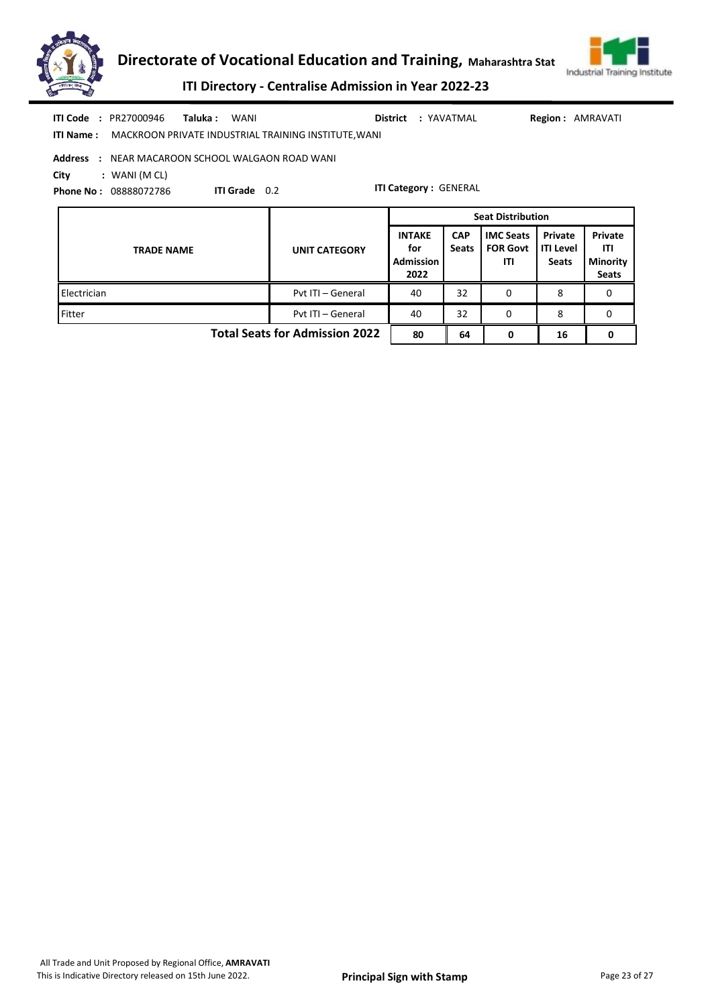



| <b>ITI Code : PR27000946</b><br>Taluka :<br>WANI<br>District<br>: YAVATMAL<br><b>Region: AMRAVATI</b><br>MACKROON PRIVATE INDUSTRIAL TRAINING INSTITUTE, WANI<br>ITI Name :<br><b>Address : NEAR MACAROON SCHOOL WALGAON ROAD WANI</b><br>City<br>$:$ WANI (M CL) |                          |                                                  |                            |                                            |                                             |                                                   |  |
|-------------------------------------------------------------------------------------------------------------------------------------------------------------------------------------------------------------------------------------------------------------------|--------------------------|--------------------------------------------------|----------------------------|--------------------------------------------|---------------------------------------------|---------------------------------------------------|--|
| ITI Grade 0.2<br><b>Phone No: 08888072786</b>                                                                                                                                                                                                                     |                          | <b>ITI Category: GENERAL</b>                     |                            |                                            |                                             |                                                   |  |
|                                                                                                                                                                                                                                                                   | <b>Seat Distribution</b> |                                                  |                            |                                            |                                             |                                                   |  |
| <b>TRADE NAME</b>                                                                                                                                                                                                                                                 | <b>UNIT CATEGORY</b>     | <b>INTAKE</b><br>for<br><b>Admission</b><br>2022 | <b>CAP</b><br><b>Seats</b> | <b>IMC Seats</b><br><b>FOR Govt</b><br>ITI | Private<br><b>ITI Level</b><br><b>Seats</b> | Private<br>ITI<br><b>Minority</b><br><b>Seats</b> |  |
| Electrician                                                                                                                                                                                                                                                       | Pvt ITI - General        | 40                                               | 32                         | 0                                          | 8                                           | 0                                                 |  |
| Fitter                                                                                                                                                                                                                                                            | Pvt ITI - General        | 40                                               | 32                         | $\Omega$                                   | 8                                           | 0                                                 |  |
| <b>Total Seats for Admission 2022</b>                                                                                                                                                                                                                             |                          |                                                  | 64                         | 0                                          | 16                                          | 0                                                 |  |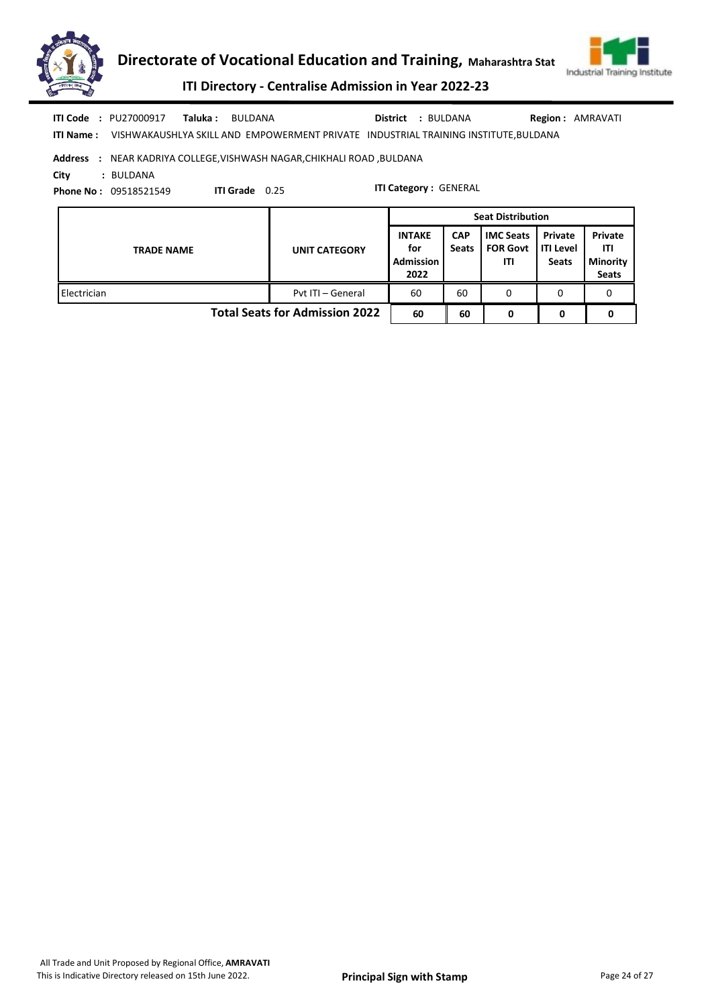



|            | <b>ITI Code : PU27000917</b> | Taluka :<br>BULDANA |                                                                        | <b>District : BULDANA</b>                                                           | <b>Region: AMRAVATI</b> |
|------------|------------------------------|---------------------|------------------------------------------------------------------------|-------------------------------------------------------------------------------------|-------------------------|
| ITI Name : |                              |                     |                                                                        | VISHWAKAUSHLYA SKILL AND EMPOWERMENT PRIVATE INDUSTRIAL TRAINING INSTITUTE, BULDANA |                         |
|            |                              |                     | Address : NEAR KADRIYA COLLEGE, VISHWASH NAGAR, CHIKHALI ROAD, BULDANA |                                                                                     |                         |
| City       | : BULDANA                    |                     |                                                                        |                                                                                     |                         |
|            | <b>Phone No: 09518521549</b> | <b>ITI Grade</b>    | 0.25                                                                   | <b>ITI Category: GENERAL</b>                                                        |                         |

|                                       |                      | <b>Seat Distribution</b>                         |                            |                                            |                                               |                                                   |  |
|---------------------------------------|----------------------|--------------------------------------------------|----------------------------|--------------------------------------------|-----------------------------------------------|---------------------------------------------------|--|
| <b>TRADE NAME</b>                     | <b>UNIT CATEGORY</b> | <b>INTAKE</b><br>for<br><b>Admission</b><br>2022 | <b>CAP</b><br><b>Seats</b> | <b>IMC Seats</b><br><b>FOR Govt</b><br>ITI | Private<br><b>I</b> ITI Level<br><b>Seats</b> | Private<br>ITI<br><b>Minority</b><br><b>Seats</b> |  |
| Electrician                           | Pyt ITI - General    | 60                                               | 60                         | 0                                          | 0                                             | 0                                                 |  |
| <b>Total Seats for Admission 2022</b> |                      |                                                  | 60                         | 0                                          | 0                                             |                                                   |  |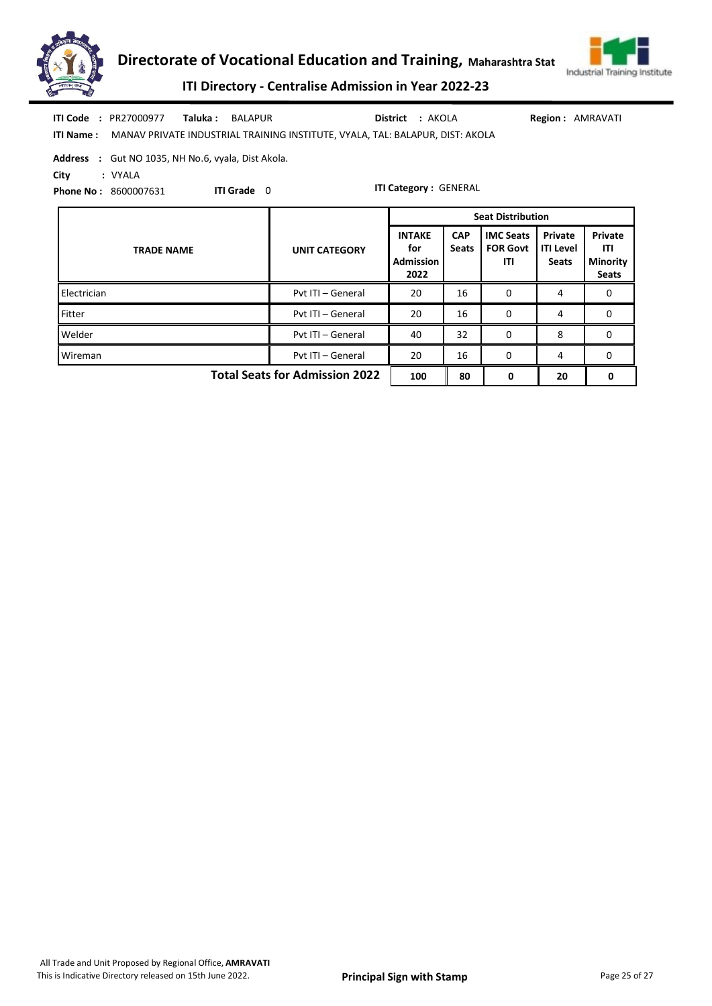



|            | <b>ITI Code : PR27000977</b>                              | Taluka : | BALAPUR            |                                                                               | <b>District : AKOLA</b>      | <b>Region: AMRAVATI</b> |
|------------|-----------------------------------------------------------|----------|--------------------|-------------------------------------------------------------------------------|------------------------------|-------------------------|
| ITI Name : |                                                           |          |                    | MANAV PRIVATE INDUSTRIAL TRAINING INSTITUTE, VYALA, TAL: BALAPUR, DIST: AKOLA |                              |                         |
|            | <b>Address</b> : Gut NO 1035, NH No.6, vyala, Dist Akola. |          |                    |                                                                               |                              |                         |
| City       | : VYALA                                                   |          |                    |                                                                               |                              |                         |
|            | <b>Phone No: 8600007631</b>                               |          | <b>ITI Grade</b> 0 |                                                                               | <b>ITI Category: GENERAL</b> |                         |
|            |                                                           |          |                    |                                                                               |                              |                         |

|                                       |                      | <b>Seat Distribution</b>                         |                            |                                            |                                             |                                                   |
|---------------------------------------|----------------------|--------------------------------------------------|----------------------------|--------------------------------------------|---------------------------------------------|---------------------------------------------------|
| <b>TRADE NAME</b>                     | <b>UNIT CATEGORY</b> | <b>INTAKE</b><br>for<br><b>Admission</b><br>2022 | <b>CAP</b><br><b>Seats</b> | <b>IMC Seats</b><br><b>FOR Govt</b><br>ITI | Private<br><b>ITI Level</b><br><b>Seats</b> | Private<br>ITI<br><b>Minority</b><br><b>Seats</b> |
| Electrician                           | Pvt ITI - General    | 20                                               | 16                         | 0                                          | 4                                           | 0                                                 |
| Fitter                                | Pyt ITI - General    | 20                                               | 16                         | 0                                          | 4                                           | 0                                                 |
| Welder                                | Pvt ITI - General    | 40                                               | 32                         | 0                                          | 8                                           | 0                                                 |
| Wireman                               | Pyt ITI - General    | 20                                               | 16                         | 0                                          | 4                                           | 0                                                 |
| <b>Total Seats for Admission 2022</b> |                      |                                                  | 80                         | 0                                          | 20                                          | 0                                                 |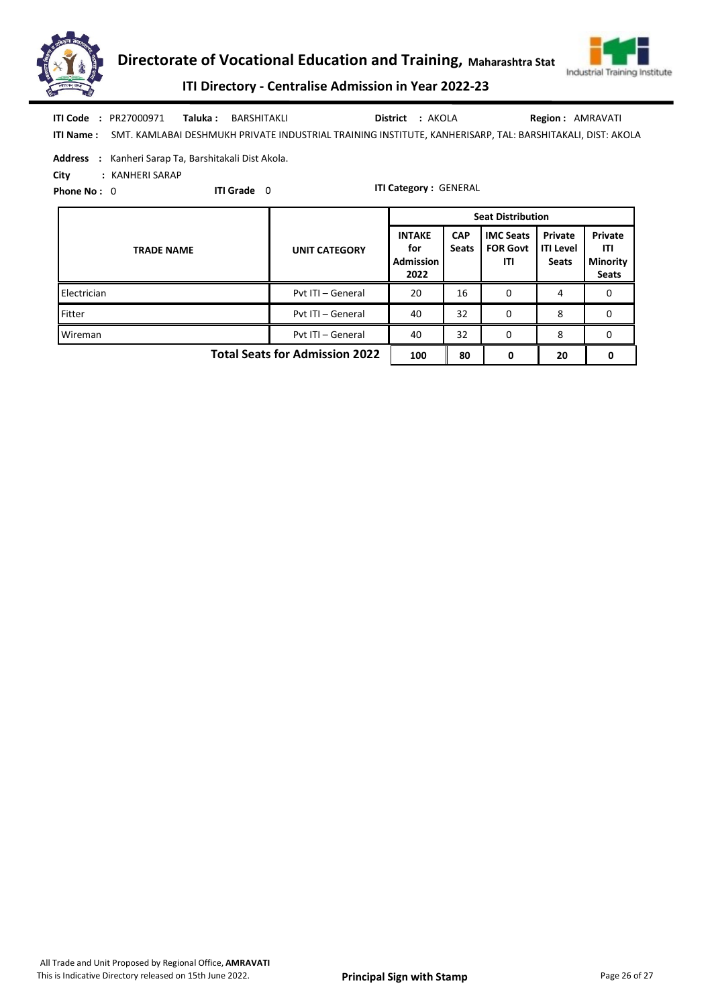



ITI Directory - Centralise Admission in Year 2022-23

ITI Name : SMT. KAMLABAI DESHMUKH PRIVATE INDUSTRIAL TRAINING INSTITUTE, KANHERISARP, TAL: BARSHITAKALI, DIST: AKOLA Taluka : BARSHITAKLI District : AKOLA ITI Code : PR27000971 Taluka : BARSHITAKLI District : AKOLA Region : AMRAVATI

Address : Kanheri Sarap Ta, Barshitakali Dist Akola.

City : KANHERI SARAP

Phone No: 0

ITI Grade 0

|                                       |                      | <b>Seat Distribution</b>                         |                            |                                            |                                             |                                                   |  |
|---------------------------------------|----------------------|--------------------------------------------------|----------------------------|--------------------------------------------|---------------------------------------------|---------------------------------------------------|--|
| <b>TRADE NAME</b>                     | <b>UNIT CATEGORY</b> | <b>INTAKE</b><br>for<br><b>Admission</b><br>2022 | <b>CAP</b><br><b>Seats</b> | <b>IMC Seats</b><br><b>FOR Govt</b><br>ITI | Private<br><b>ITI Level</b><br><b>Seats</b> | Private<br>ITI<br><b>Minority</b><br><b>Seats</b> |  |
| Electrician                           | Pvt ITI - General    | 20                                               | 16                         | 0                                          | 4                                           | 0                                                 |  |
| Fitter                                | Pvt ITI - General    | 40                                               | 32                         | 0                                          | 8                                           | 0                                                 |  |
| Wireman                               | Pvt ITI - General    | 40                                               | 32                         | 0                                          | 8                                           | 0                                                 |  |
| <b>Total Seats for Admission 2022</b> |                      |                                                  | 80                         | 0                                          | 20                                          | 0                                                 |  |